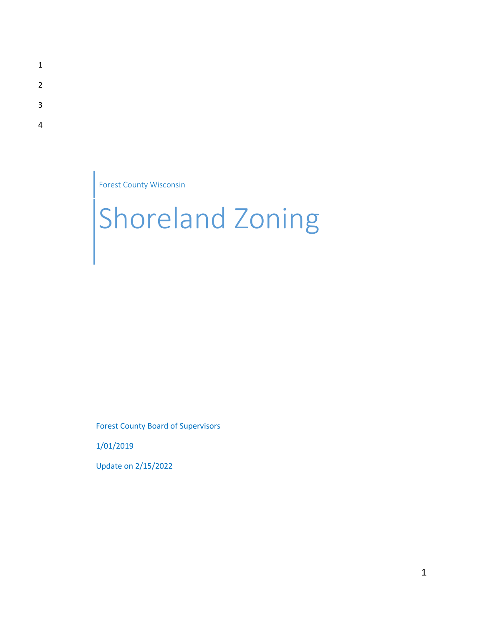- 1
- 2
- 3
- 4

Forest County Wisconsin

# Shoreland Zoning

Forest County Board of Supervisors

1/01/2019

Update on 2/15/2022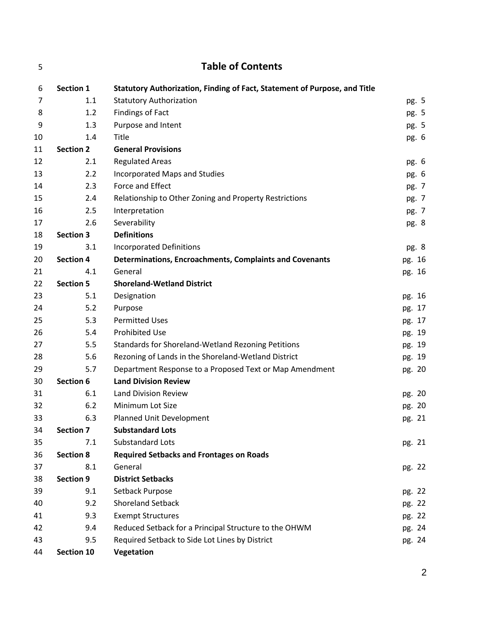| 5  |                  | <b>Table of Contents</b>                                                  |        |
|----|------------------|---------------------------------------------------------------------------|--------|
| 6  | <b>Section 1</b> | Statutory Authorization, Finding of Fact, Statement of Purpose, and Title |        |
| 7  | 1.1              | <b>Statutory Authorization</b>                                            | pg. 5  |
| 8  | 1.2              | <b>Findings of Fact</b>                                                   | pg. 5  |
| 9  | 1.3              | Purpose and Intent                                                        | pg. 5  |
| 10 | 1.4              | Title                                                                     | pg. 6  |
| 11 | <b>Section 2</b> | <b>General Provisions</b>                                                 |        |
| 12 | 2.1              | <b>Regulated Areas</b>                                                    | pg. 6  |
| 13 | 2.2              | <b>Incorporated Maps and Studies</b>                                      | pg. 6  |
| 14 | 2.3              | Force and Effect                                                          | pg. 7  |
| 15 | 2.4              | Relationship to Other Zoning and Property Restrictions                    | pg. 7  |
| 16 | 2.5              | Interpretation                                                            | pg. 7  |
| 17 | 2.6              | Severability                                                              | pg. 8  |
| 18 | <b>Section 3</b> | <b>Definitions</b>                                                        |        |
| 19 | 3.1              | <b>Incorporated Definitions</b>                                           | pg. 8  |
| 20 | <b>Section 4</b> | Determinations, Encroachments, Complaints and Covenants                   | pg. 16 |
| 21 | 4.1              | General                                                                   | pg. 16 |
| 22 | <b>Section 5</b> | <b>Shoreland-Wetland District</b>                                         |        |
| 23 | 5.1              | Designation                                                               | pg. 16 |
| 24 | 5.2              | Purpose                                                                   | pg. 17 |
| 25 | 5.3              | <b>Permitted Uses</b>                                                     | pg. 17 |
| 26 | 5.4              | <b>Prohibited Use</b>                                                     | pg. 19 |
| 27 | 5.5              | Standards for Shoreland-Wetland Rezoning Petitions                        | pg. 19 |
| 28 | 5.6              | Rezoning of Lands in the Shoreland-Wetland District                       | pg. 19 |
| 29 | 5.7              | Department Response to a Proposed Text or Map Amendment                   | pg. 20 |
| 30 | <b>Section 6</b> | <b>Land Division Review</b>                                               |        |
| 31 | 6.1              | <b>Land Division Review</b>                                               | pg. 20 |
| 32 | 6.2              | Minimum Lot Size                                                          | pg. 20 |
| 33 | 6.3              | Planned Unit Development                                                  | pg. 21 |
| 34 | <b>Section 7</b> | <b>Substandard Lots</b>                                                   |        |
| 35 | 7.1              | Substandard Lots                                                          | pg. 21 |
| 36 | <b>Section 8</b> | <b>Required Setbacks and Frontages on Roads</b>                           |        |
| 37 | 8.1              | General                                                                   | pg. 22 |
| 38 | <b>Section 9</b> | <b>District Setbacks</b>                                                  |        |
| 39 | 9.1              | Setback Purpose                                                           | pg. 22 |
| 40 | 9.2              | <b>Shoreland Setback</b>                                                  | pg. 22 |
| 41 | 9.3              | <b>Exempt Structures</b>                                                  | pg. 22 |
| 42 | 9.4              | Reduced Setback for a Principal Structure to the OHWM                     | pg. 24 |
| 43 | 9.5              | Required Setback to Side Lot Lines by District                            | pg. 24 |
| 44 | Section 10       | Vegetation                                                                |        |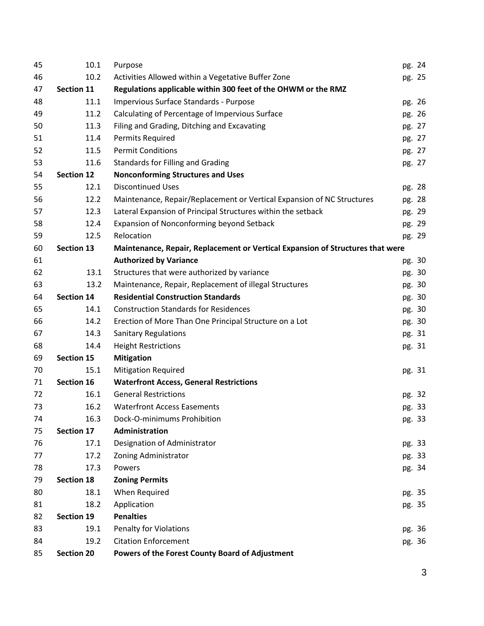| 45 | 10.1              | Purpose                                                                        | pg. 24 |
|----|-------------------|--------------------------------------------------------------------------------|--------|
| 46 | 10.2              | Activities Allowed within a Vegetative Buffer Zone                             | pg. 25 |
| 47 | <b>Section 11</b> | Regulations applicable within 300 feet of the OHWM or the RMZ                  |        |
| 48 | 11.1              | Impervious Surface Standards - Purpose                                         | pg. 26 |
| 49 | 11.2              | Calculating of Percentage of Impervious Surface                                | pg. 26 |
| 50 | 11.3              | Filing and Grading, Ditching and Excavating                                    | pg. 27 |
| 51 | 11.4              | <b>Permits Required</b>                                                        | pg. 27 |
| 52 | 11.5              | <b>Permit Conditions</b>                                                       | pg. 27 |
| 53 | 11.6              | <b>Standards for Filling and Grading</b>                                       | pg. 27 |
| 54 | <b>Section 12</b> | <b>Nonconforming Structures and Uses</b>                                       |        |
| 55 | 12.1              | <b>Discontinued Uses</b>                                                       | pg. 28 |
| 56 | 12.2              | Maintenance, Repair/Replacement or Vertical Expansion of NC Structures         | pg. 28 |
| 57 | 12.3              | Lateral Expansion of Principal Structures within the setback                   | pg. 29 |
| 58 | 12.4              | Expansion of Nonconforming beyond Setback                                      | pg. 29 |
| 59 | 12.5              | Relocation                                                                     | pg. 29 |
| 60 | <b>Section 13</b> | Maintenance, Repair, Replacement or Vertical Expansion of Structures that were |        |
| 61 |                   | <b>Authorized by Variance</b>                                                  | pg. 30 |
| 62 | 13.1              | Structures that were authorized by variance                                    | pg. 30 |
| 63 | 13.2              | Maintenance, Repair, Replacement of illegal Structures                         | pg. 30 |
| 64 | <b>Section 14</b> | <b>Residential Construction Standards</b>                                      | pg. 30 |
| 65 | 14.1              | <b>Construction Standards for Residences</b>                                   | pg. 30 |
| 66 | 14.2              | Erection of More Than One Principal Structure on a Lot                         | pg. 30 |
| 67 | 14.3              | <b>Sanitary Regulations</b>                                                    | pg. 31 |
| 68 | 14.4              | <b>Height Restrictions</b>                                                     | pg. 31 |
| 69 | <b>Section 15</b> | <b>Mitigation</b>                                                              |        |
| 70 | 15.1              | <b>Mitigation Required</b>                                                     | pg. 31 |
| 71 | Section 16        | <b>Waterfront Access, General Restrictions</b>                                 |        |
| 72 | 16.1              | <b>General Restrictions</b>                                                    | pg. 32 |
| 73 | 16.2              | <b>Waterfront Access Easements</b>                                             | pg. 33 |
| 74 | 16.3              | Dock-O-minimums Prohibition                                                    | pg. 33 |
| 75 | Section 17        | Administration                                                                 |        |
| 76 | 17.1              | Designation of Administrator                                                   | pg. 33 |
| 77 | 17.2              | Zoning Administrator                                                           | pg. 33 |
| 78 | 17.3              | Powers                                                                         | pg. 34 |
| 79 | <b>Section 18</b> | <b>Zoning Permits</b>                                                          |        |
| 80 | 18.1              | When Required                                                                  | pg. 35 |
| 81 | 18.2              | Application                                                                    | pg. 35 |
| 82 | Section 19        | <b>Penalties</b>                                                               |        |
| 83 | 19.1              | <b>Penalty for Violations</b>                                                  | pg. 36 |
| 84 | 19.2              | <b>Citation Enforcement</b>                                                    | pg. 36 |
| 85 | <b>Section 20</b> | Powers of the Forest County Board of Adjustment                                |        |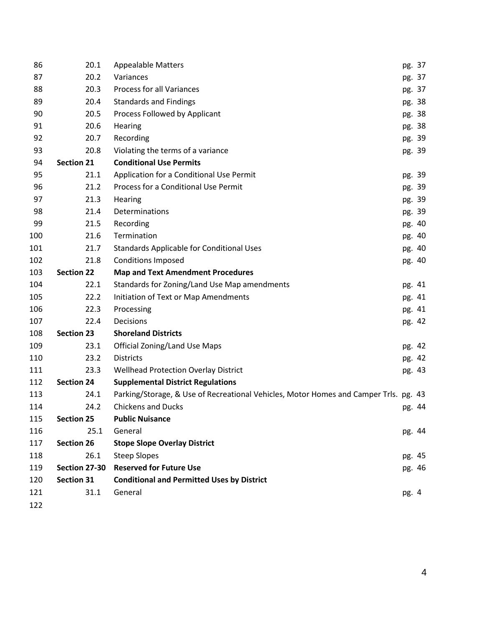| 86  | 20.1              | <b>Appealable Matters</b>                                                            |        | pg. 37 |
|-----|-------------------|--------------------------------------------------------------------------------------|--------|--------|
| 87  | 20.2              | Variances                                                                            |        | pg. 37 |
| 88  | 20.3              | <b>Process for all Variances</b>                                                     |        | pg. 37 |
| 89  | 20.4              | <b>Standards and Findings</b>                                                        |        | pg. 38 |
| 90  | 20.5              | Process Followed by Applicant                                                        |        | pg. 38 |
| 91  | 20.6              | Hearing                                                                              |        | pg. 38 |
| 92  | 20.7              | Recording                                                                            |        | pg. 39 |
| 93  | 20.8              | Violating the terms of a variance                                                    |        | pg. 39 |
| 94  | <b>Section 21</b> | <b>Conditional Use Permits</b>                                                       |        |        |
| 95  | 21.1              | Application for a Conditional Use Permit                                             |        | pg. 39 |
| 96  | 21.2              | Process for a Conditional Use Permit                                                 |        | pg. 39 |
| 97  | 21.3              | Hearing                                                                              |        | pg. 39 |
| 98  | 21.4              | Determinations                                                                       |        | pg. 39 |
| 99  | 21.5              | Recording                                                                            |        | pg. 40 |
| 100 | 21.6              | Termination                                                                          |        | pg. 40 |
| 101 | 21.7              | Standards Applicable for Conditional Uses                                            |        | pg. 40 |
| 102 | 21.8              | <b>Conditions Imposed</b>                                                            |        | pg. 40 |
| 103 | <b>Section 22</b> | <b>Map and Text Amendment Procedures</b>                                             |        |        |
| 104 | 22.1              | Standards for Zoning/Land Use Map amendments                                         |        | pg. 41 |
| 105 | 22.2              | Initiation of Text or Map Amendments                                                 |        | pg. 41 |
| 106 | 22.3              | Processing                                                                           |        | pg. 41 |
| 107 | 22.4              | Decisions                                                                            |        | pg. 42 |
| 108 | <b>Section 23</b> | <b>Shoreland Districts</b>                                                           |        |        |
| 109 | 23.1              | <b>Official Zoning/Land Use Maps</b>                                                 |        | pg. 42 |
| 110 | 23.2              | <b>Districts</b>                                                                     |        | pg. 42 |
| 111 | 23.3              | <b>Wellhead Protection Overlay District</b>                                          |        | pg. 43 |
| 112 | <b>Section 24</b> | <b>Supplemental District Regulations</b>                                             |        |        |
| 113 | 24.1              | Parking/Storage, & Use of Recreational Vehicles, Motor Homes and Camper Trls. pg. 43 |        |        |
| 114 | 24.2              | <b>Chickens and Ducks</b>                                                            | pg. 44 |        |
| 115 | <b>Section 25</b> | <b>Public Nuisance</b>                                                               |        |        |
| 116 | 25.1              | General                                                                              |        | pg. 44 |
| 117 | <b>Section 26</b> | <b>Stope Slope Overlay District</b>                                                  |        |        |
| 118 | 26.1              | <b>Steep Slopes</b>                                                                  |        | pg. 45 |
| 119 | Section 27-30     | <b>Reserved for Future Use</b>                                                       |        | pg. 46 |
| 120 | <b>Section 31</b> | <b>Conditional and Permitted Uses by District</b>                                    |        |        |
| 121 | 31.1              | General                                                                              | pg. 4  |        |
| 122 |                   |                                                                                      |        |        |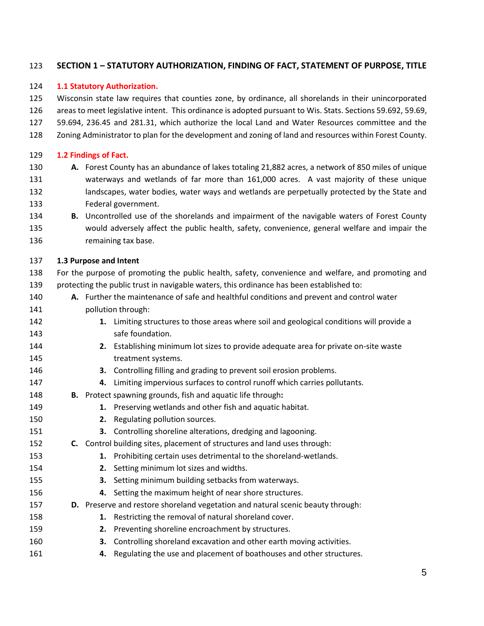# **SECTION 1 – STATUTORY AUTHORIZATION, FINDING OF FACT, STATEMENT OF PURPOSE, TITLE**

#### **1.1 Statutory Authorization.**

 Wisconsin state law requires that counties zone, by ordinance, all shorelands in their unincorporated areas to meet legislative intent. This ordinance is adopted pursuant to Wis. Stats. Sections 59.692, 59.69, 59.694, 236.45 and 281.31, which authorize the local Land and Water Resources committee and the Zoning Administrator to plan for the development and zoning of land and resources within Forest County.

#### **1.2 Findings of Fact.**

- **A.** Forest County has an abundance of lakes totaling 21,882 acres, a network of 850 miles of unique waterways and wetlands of far more than 161,000 acres. A vast majority of these unique landscapes, water bodies, water ways and wetlands are perpetually protected by the State and Federal government.
- **B.** Uncontrolled use of the shorelands and impairment of the navigable waters of Forest County would adversely affect the public health, safety, convenience, general welfare and impair the remaining tax base.

#### **1.3 Purpose and Intent**

- For the purpose of promoting the public health, safety, convenience and welfare, and promoting and protecting the public trust in navigable waters, this ordinance has been established to:
- **A.** Further the maintenance of safe and healthful conditions and prevent and control water pollution through:
- **1.** Limiting structures to those areas where soil and geological conditions will provide a **Safe foundation.**
- **2.** Establishing minimum lot sizes to provide adequate area for private on-site waste **treatment systems.**
- **3.** Controlling filling and grading to prevent soil erosion problems.
- **4.** Limiting impervious surfaces to control runoff which carries pollutants.
- **B.** Protect spawning grounds, fish and aquatic life through**:**
- **1.** Preserving wetlands and other fish and aquatic habitat.
- **2.** Regulating pollution sources.
- **3.** Controlling shoreline alterations, dredging and lagooning.
- **C.** Control building sites, placement of structures and land uses through:
- **1.** Prohibiting certain uses detrimental to the shoreland-wetlands.
- **2.** Setting minimum lot sizes and widths.
- **3.** Setting minimum building setbacks from waterways.
- **4.** Setting the maximum height of near shore structures.
- **D.** Preserve and restore shoreland vegetation and natural scenic beauty through:
- **1.** Restricting the removal of natural shoreland cover.
- **2.** Preventing shoreline encroachment by structures.
- **3.** Controlling shoreland excavation and other earth moving activities.
- **4.** Regulating the use and placement of boathouses and other structures.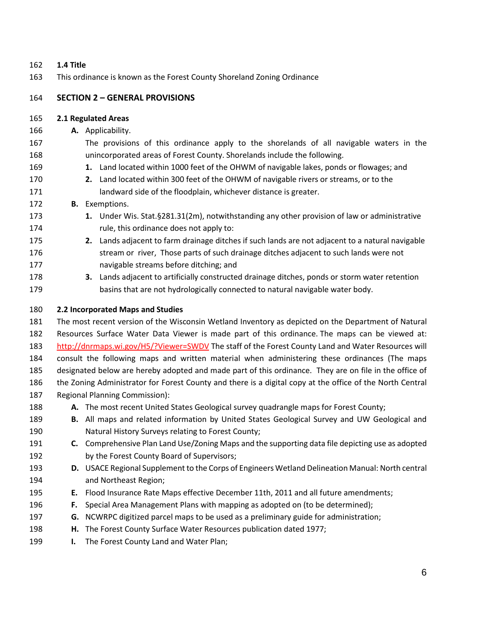#### **1.4 Title**

This ordinance is known as the Forest County Shoreland Zoning Ordinance

# **SECTION 2 – GENERAL PROVISIONS**

#### **2.1 Regulated Areas**

- **A.** Applicability.
- The provisions of this ordinance apply to the shorelands of all navigable waters in the unincorporated areas of Forest County. Shorelands include the following.
- **1.** Land located within 1000 feet of the OHWM of navigable lakes, ponds or flowages; and
- **2.** Land located within 300 feet of the OHWM of navigable rivers or streams, or to the **Indeminish and State of the floodplain, whichever distance is greater.**

# **B.** Exemptions.

- **1.** Under Wis. Stat.§281.31(2m), notwithstanding any other provision of law or administrative rule, this ordinance does not apply to:
- **2.** Lands adjacent to farm drainage ditches if such lands are not adjacent to a natural navigable stream or river, Those parts of such drainage ditches adjacent to such lands were not navigable streams before ditching; and
- **3.** Lands adjacent to artificially constructed drainage ditches, ponds or storm water retention basins that are not hydrologically connected to natural navigable water body.

# **2.2 Incorporated Maps and Studies**

 The most recent version of the Wisconsin Wetland Inventory as depicted on the Department of Natural Resources Surface Water Data Viewer is made part of this ordinance. The maps can be viewed at: http://dnrmaps.wi.gov/H5/?Viewer=SWDV The staff of the Forest County Land and Water Resources will consult the following maps and written material when administering these ordinances (The maps designated below are hereby adopted and made part of this ordinance. They are on file in the office of the Zoning Administrator for Forest County and there is a digital copy at the office of the North Central Regional Planning Commission):

- **A.** The most recent United States Geological survey quadrangle maps for Forest County;
- **B.** All maps and related information by United States Geological Survey and UW Geological and Natural History Surveys relating to Forest County;
- **C.** Comprehensive Plan Land Use/Zoning Maps and the supporting data file depicting use as adopted by the Forest County Board of Supervisors;
- **D.** USACE Regional Supplement to the Corps of Engineers Wetland Delineation Manual: North central and Northeast Region;
- **E.** Flood Insurance Rate Maps effective December 11th, 2011 and all future amendments;
- **F.** Special Area Management Plans with mapping as adopted on (to be determined);
- **G.** NCWRPC digitized parcel maps to be used as a preliminary guide for administration;
- **H.** The Forest County Surface Water Resources publication dated 1977;
- **I.** The Forest County Land and Water Plan;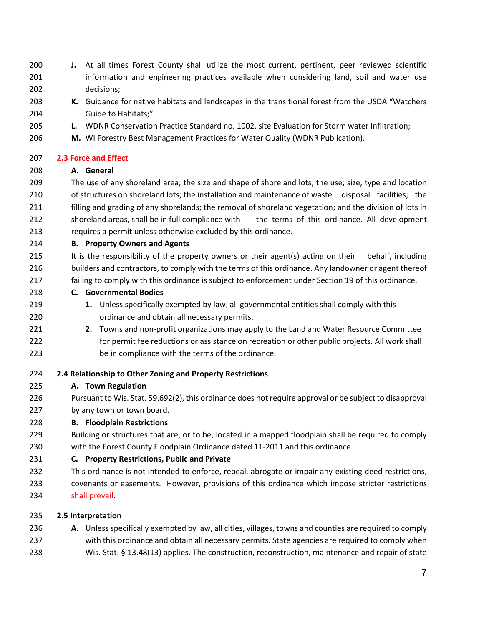- **J.** At all times Forest County shall utilize the most current, pertinent, peer reviewed scientific 201 information and engineering practices available when considering land, soil and water use decisions;
- **K.** Guidance for native habitats and landscapes in the transitional forest from the USDA "Watchers Guide to Habitats;"
- **L.** WDNR Conservation Practice Standard no. 1002, site Evaluation for Storm water Infiltration;
- **M.** WI Forestry Best Management Practices for Water Quality (WDNR Publication).

#### **2.3 Force and Effect**

# **A. General**

 The use of any shoreland area; the size and shape of shoreland lots; the use; size, type and location of structures on shoreland lots; the installation and maintenance of waste disposal facilities; the filling and grading of any shorelands; the removal of shoreland vegetation; and the division of lots in 212 shoreland areas, shall be in full compliance with the terms of this ordinance. All development requires a permit unless otherwise excluded by this ordinance.

#### **B. Property Owners and Agents**

- It is the responsibility of the property owners or their agent(s) acting on their behalf, including builders and contractors, to comply with the terms of this ordinance. Any landowner or agent thereof failing to comply with this ordinance is subject to enforcement under Section 19 of this ordinance.
- **C. Governmental Bodies**
- **1.** Unless specifically exempted by law, all governmental entities shall comply with this ordinance and obtain all necessary permits.
- **2.** Towns and non-profit organizations may apply to the Land and Water Resource Committee for permit fee reductions or assistance on recreation or other public projects. All work shall be in compliance with the terms of the ordinance.
- **2.4 Relationship to Other Zoning and Property Restrictions**

# **A. Town Regulation**

 Pursuant to Wis. Stat. 59.692(2), this ordinance does not require approval or be subject to disapproval by any town or town board.

# **B. Floodplain Restrictions**

- Building or structures that are, or to be, located in a mapped floodplain shall be required to comply with the Forest County Floodplain Ordinance dated 11-2011 and this ordinance.
- **C. Property Restrictions, Public and Private**
- This ordinance is not intended to enforce, repeal, abrogate or impair any existing deed restrictions, covenants or easements. However, provisions of this ordinance which impose stricter restrictions shall prevail.

# **2.5 Interpretation**

- **A.** Unless specifically exempted by law, all cities, villages, towns and counties are required to comply with this ordinance and obtain all necessary permits. State agencies are required to comply when
- Wis. Stat. § 13.48(13) applies. The construction, reconstruction, maintenance and repair of state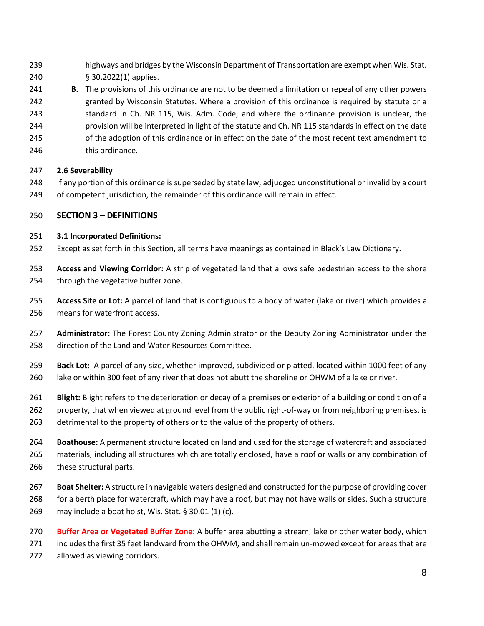- highways and bridges by the Wisconsin Department of Transportation are exempt when Wis. Stat. § 30.2022(1) applies.
- **B.** The provisions of this ordinance are not to be deemed a limitation or repeal of any other powers granted by Wisconsin Statutes. Where a provision of this ordinance is required by statute or a standard in Ch. NR 115, Wis. Adm. Code, and where the ordinance provision is unclear, the provision will be interpreted in light of the statute and Ch. NR 115 standards in effect on the date of the adoption of this ordinance or in effect on the date of the most recent text amendment to
- this ordinance.

#### **2.6 Severability**

- If any portion of this ordinance is superseded by state law, adjudged unconstitutional or invalid by a court of competent jurisdiction, the remainder of this ordinance will remain in effect.
- **SECTION 3 – DEFINITIONS**

#### **3.1 Incorporated Definitions:**

- Except as set forth in this Section, all terms have meanings as contained in Black's Law Dictionary.
- **Access and Viewing Corridor:** A strip of vegetated land that allows safe pedestrian access to the shore through the vegetative buffer zone.
- **Access Site or Lot:** A parcel of land that is contiguous to a body of water (lake or river) which provides a means for waterfront access.
- **Administrator:** The Forest County Zoning Administrator or the Deputy Zoning Administrator under the direction of the Land and Water Resources Committee.
- **Back Lot:** A parcel of any size, whether improved, subdivided or platted, located within 1000 feet of any lake or within 300 feet of any river that does not abutt the shoreline or OHWM of a lake or river.
- **Blight:** Blight refers to the deterioration or decay of a premises or exterior of a building or condition of a property, that when viewed at ground level from the public right-of-way or from neighboring premises, is detrimental to the property of others or to the value of the property of others.
- **Boathouse:** A permanent structure located on land and used for the storage of watercraft and associated materials, including all structures which are totally enclosed, have a roof or walls or any combination of these structural parts.
- **Boat Shelter:** A structure in navigable waters designed and constructed for the purpose of providing cover for a berth place for watercraft, which may have a roof, but may not have walls or sides. Such a structure may include a boat hoist, Wis. Stat. § 30.01 (1) (c).
- **Buffer Area or Vegetated Buffer Zone:** A buffer area abutting a stream, lake or other water body, which includes the first 35 feet landward from the OHWM, and shall remain un-mowed except for areas that are allowed as viewing corridors.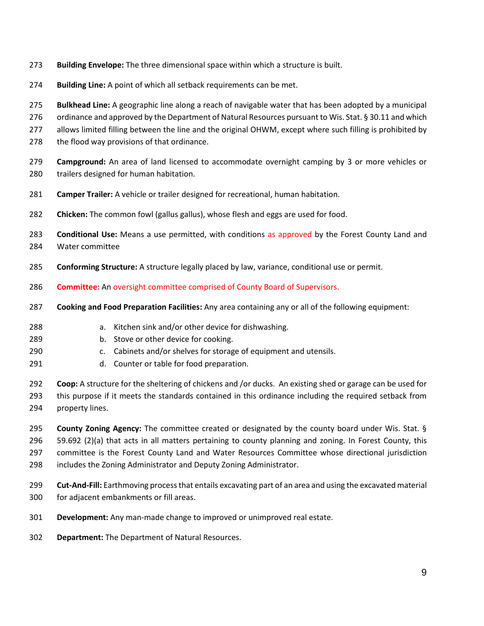- **Building Envelope:** The three dimensional space within which a structure is built.
- **Building Line:** A point of which all setback requirements can be met.

**Bulkhead Line:** A geographic line along a reach of navigable water that has been adopted by a municipal

276 ordinance and approved by the Department of Natural Resources pursuant to Wis. Stat. § 30.11 and which

- allows limited filling between the line and the original OHWM, except where such filling is prohibited by
- the flood way provisions of that ordinance.
- **Campground:** An area of land licensed to accommodate overnight camping by 3 or more vehicles or trailers designed for human habitation.
- **Camper Trailer:** A vehicle or trailer designed for recreational, human habitation.
- **Chicken:** The common fowl (gallus gallus), whose flesh and eggs are used for food.

 **Conditional Use:** Means a use permitted, with conditions as approved by the Forest County Land and Water committee

- **Conforming Structure:** A structure legally placed by law, variance, conditional use or permit.
- **Committee:** An oversight committee comprised of County Board of Supervisors.
- **Cooking and Food Preparation Facilities:** Any area containing any or all of the following equipment:
- a. Kitchen sink and/or other device for dishwashing.
- b. Stove or other device for cooking.
- c. Cabinets and/or shelves for storage of equipment and utensils.
- d. Counter or table for food preparation.

 **Coop:** A structure for the sheltering of chickens and /or ducks. An existing shed or garage can be used for this purpose if it meets the standards contained in this ordinance including the required setback from property lines.

 **County Zoning Agency:** The committee created or designated by the county board under Wis. Stat. § 59.692 (2)(a) that acts in all matters pertaining to county planning and zoning. In Forest County, this committee is the Forest County Land and Water Resources Committee whose directional jurisdiction includes the Zoning Administrator and Deputy Zoning Administrator.

- **Cut-And-Fill:** Earthmoving process that entails excavating part of an area and using the excavated material for adjacent embankments or fill areas.
- **Development:** Any man-made change to improved or unimproved real estate.
- **Department:** The Department of Natural Resources.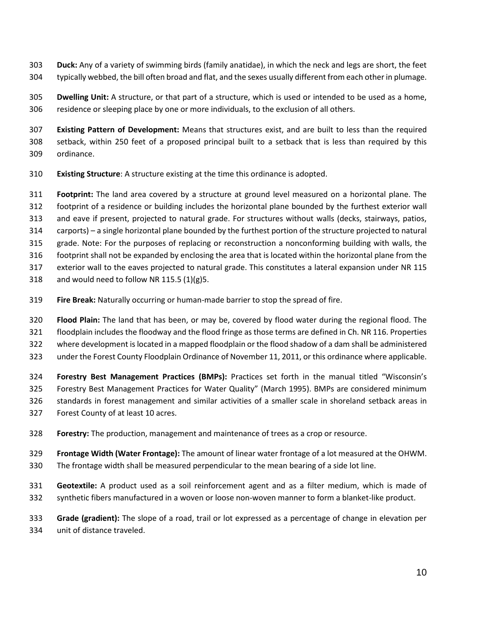- **Duck:** Any of a variety of swimming birds (family anatidae), in which the neck and legs are short, the feet typically webbed, the bill often broad and flat, and the sexes usually different from each other in plumage.
- **Dwelling Unit:** A structure, or that part of a structure, which is used or intended to be used as a home, residence or sleeping place by one or more individuals, to the exclusion of all others.
- **Existing Pattern of Development:** Means that structures exist, and are built to less than the required setback, within 250 feet of a proposed principal built to a setback that is less than required by this ordinance.
- **Existing Structure**: A structure existing at the time this ordinance is adopted.
- **Footprint:** The land area covered by a structure at ground level measured on a horizontal plane. The footprint of a residence or building includes the horizontal plane bounded by the furthest exterior wall and eave if present, projected to natural grade. For structures without walls (decks, stairways, patios, carports) – a single horizontal plane bounded by the furthest portion of the structure projected to natural grade. Note: For the purposes of replacing or reconstruction a nonconforming building with walls, the footprint shall not be expanded by enclosing the area that is located within the horizontal plane from the
- exterior wall to the eaves projected to natural grade. This constitutes a lateral expansion under NR 115
- 318 and would need to follow NR 115.5  $(1)(g)$ 5.
- **Fire Break:** Naturally occurring or human-made barrier to stop the spread of fire.
- **Flood Plain:** The land that has been, or may be, covered by flood water during the regional flood. The
- floodplain includes the floodway and the flood fringe as those terms are defined in Ch. NR 116. Properties
- where development is located in a mapped floodplain or the flood shadow of a dam shall be administered
- under the Forest County Floodplain Ordinance of November 11, 2011, or this ordinance where applicable.
- **Forestry Best Management Practices (BMPs):** Practices set forth in the manual titled "Wisconsin's Forestry Best Management Practices for Water Quality" (March 1995). BMPs are considered minimum standards in forest management and similar activities of a smaller scale in shoreland setback areas in Forest County of at least 10 acres.
- **Forestry:** The production, management and maintenance of trees as a crop or resource.
- **Frontage Width (Water Frontage):** The amount of linear water frontage of a lot measured at the OHWM. The frontage width shall be measured perpendicular to the mean bearing of a side lot line.
- **Geotextile:** A product used as a soil reinforcement agent and as a filter medium, which is made of synthetic fibers manufactured in a woven or loose non-woven manner to form a blanket-like product.
- **Grade (gradient):** The slope of a road, trail or lot expressed as a percentage of change in elevation per unit of distance traveled.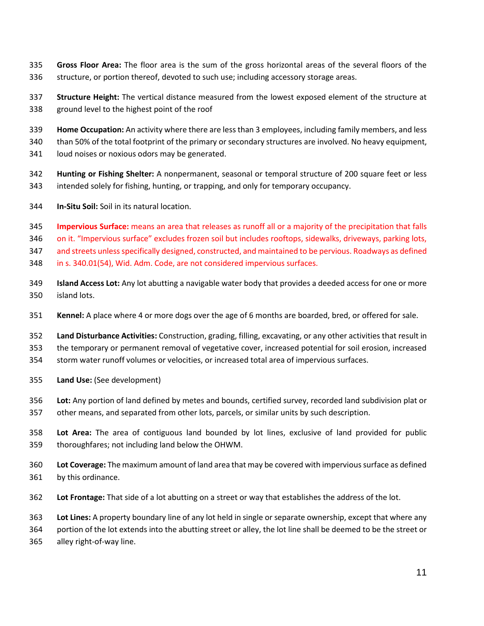- **Gross Floor Area:** The floor area is the sum of the gross horizontal areas of the several floors of the structure, or portion thereof, devoted to such use; including accessory storage areas.
- **Structure Height:** The vertical distance measured from the lowest exposed element of the structure at ground level to the highest point of the roof
- **Home Occupation:** An activity where there are less than 3 employees, including family members, and less
- than 50% of the total footprint of the primary or secondary structures are involved. No heavy equipment,
- loud noises or noxious odors may be generated.
- **Hunting or Fishing Shelter:** A nonpermanent, seasonal or temporal structure of 200 square feet or less intended solely for fishing, hunting, or trapping, and only for temporary occupancy.
- **In-Situ Soil:** Soil in its natural location.
- **Impervious Surface:** means an area that releases as runoff all or a majority of the precipitation that falls
- on it. "Impervious surface" excludes frozen soil but includes rooftops, sidewalks, driveways, parking lots,

and streets unless specifically designed, constructed, and maintained to be pervious. Roadways as defined

- in s. 340.01(54), Wid. Adm. Code, are not considered impervious surfaces.
- **Island Access Lot:** Any lot abutting a navigable water body that provides a deeded access for one or more island lots.
- **Kennel:** A place where 4 or more dogs over the age of 6 months are boarded, bred, or offered for sale.
- **Land Disturbance Activities:** Construction, grading, filling, excavating, or any other activities that result in the temporary or permanent removal of vegetative cover, increased potential for soil erosion, increased storm water runoff volumes or velocities, or increased total area of impervious surfaces.
- **Land Use:** (See development)
- **Lot:** Any portion of land defined by metes and bounds, certified survey, recorded land subdivision plat or
- other means, and separated from other lots, parcels, or similar units by such description.
- **Lot Area:** The area of contiguous land bounded by lot lines, exclusive of land provided for public thoroughfares; not including land below the OHWM.
- **Lot Coverage:** The maximum amount of land area that may be covered with impervious surface as defined by this ordinance.
- **Lot Frontage:** That side of a lot abutting on a street or way that establishes the address of the lot.

**Lot Lines:** A property boundary line of any lot held in single or separate ownership, except that where any

portion of the lot extends into the abutting street or alley, the lot line shall be deemed to be the street or

alley right-of-way line.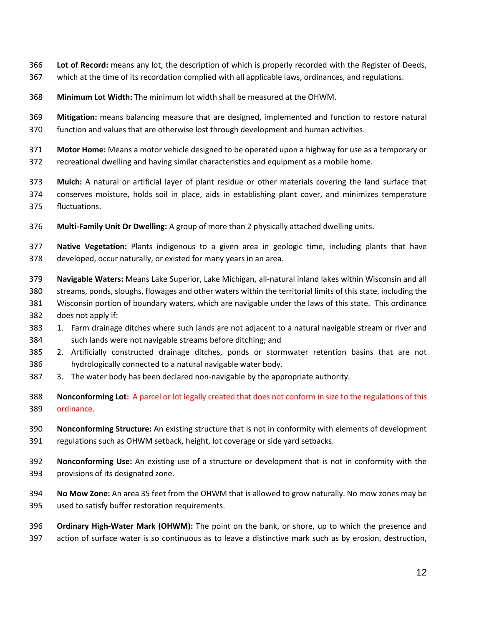- **Lot of Record:** means any lot, the description of which is properly recorded with the Register of Deeds,
- which at the time of its recordation complied with all applicable laws, ordinances, and regulations.
- **Minimum Lot Width:** The minimum lot width shall be measured at the OHWM.
- **Mitigation:** means balancing measure that are designed, implemented and function to restore natural function and values that are otherwise lost through development and human activities.
- **Motor Home:** Means a motor vehicle designed to be operated upon a highway for use as a temporary or recreational dwelling and having similar characteristics and equipment as a mobile home.
- **Mulch:** A natural or artificial layer of plant residue or other materials covering the land surface that conserves moisture, holds soil in place, aids in establishing plant cover, and minimizes temperature fluctuations.
- **Multi-Family Unit Or Dwelling:** A group of more than 2 physically attached dwelling units.
- **Native Vegetation:** Plants indigenous to a given area in geologic time, including plants that have developed, occur naturally, or existed for many years in an area.
- **Navigable Waters:** Means Lake Superior, Lake Michigan, all-natural inland lakes within Wisconsin and all streams, ponds, sloughs, flowages and other waters within the territorial limits of this state, including the Wisconsin portion of boundary waters, which are navigable under the laws of this state. This ordinance does not apply if:
- 1. Farm drainage ditches where such lands are not adjacent to a natural navigable stream or river and such lands were not navigable streams before ditching; and
- 2. Artificially constructed drainage ditches, ponds or stormwater retention basins that are not hydrologically connected to a natural navigable water body.
- 3. The water body has been declared non-navigable by the appropriate authority.
- **Nonconforming Lot:** A parcel or lot legally created that does not conform in size to the regulations of this ordinance.
- **Nonconforming Structure:** An existing structure that is not in conformity with elements of development regulations such as OHWM setback, height, lot coverage or side yard setbacks.
- **Nonconforming Use:** An existing use of a structure or development that is not in conformity with the provisions of its designated zone.
- **No Mow Zone:** An area 35 feet from the OHWM that is allowed to grow naturally. No mow zones may be used to satisfy buffer restoration requirements.
- **Ordinary High-Water Mark (OHWM):** The point on the bank, or shore, up to which the presence and action of surface water is so continuous as to leave a distinctive mark such as by erosion, destruction,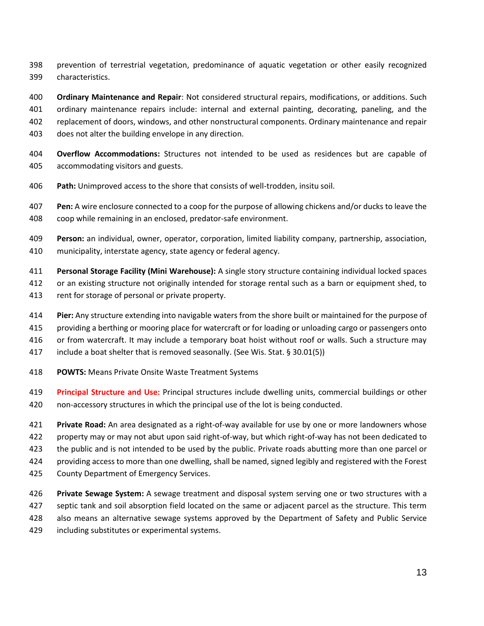- prevention of terrestrial vegetation, predominance of aquatic vegetation or other easily recognized characteristics.
- **Ordinary Maintenance and Repair**: Not considered structural repairs, modifications, or additions. Such ordinary maintenance repairs include: internal and external painting, decorating, paneling, and the replacement of doors, windows, and other nonstructural components. Ordinary maintenance and repair does not alter the building envelope in any direction.
- **Overflow Accommodations:** Structures not intended to be used as residences but are capable of accommodating visitors and guests.
- **Path:** Unimproved access to the shore that consists of well-trodden, insitu soil.
- **Pen:** A wire enclosure connected to a coop for the purpose of allowing chickens and/or ducks to leave the coop while remaining in an enclosed, predator-safe environment.
- **Person:** an individual, owner, operator, corporation, limited liability company, partnership, association, municipality, interstate agency, state agency or federal agency.
- **Personal Storage Facility (Mini Warehouse):** A single story structure containing individual locked spaces or an existing structure not originally intended for storage rental such as a barn or equipment shed, to
- rent for storage of personal or private property.
- **Pier:** Any structure extending into navigable waters from the shore built or maintained for the purpose of
- providing a berthing or mooring place for watercraft or for loading or unloading cargo or passengers onto
- or from watercraft. It may include a temporary boat hoist without roof or walls. Such a structure may
- include a boat shelter that is removed seasonally. (See Wis. Stat. § 30.01(5))
- **POWTS:** Means Private Onsite Waste Treatment Systems
- **Principal Structure and Use:** Principal structures include dwelling units, commercial buildings or other non-accessory structures in which the principal use of the lot is being conducted.
- **Private Road:** An area designated as a right-of-way available for use by one or more landowners whose property may or may not abut upon said right-of-way, but which right-of-way has not been dedicated to the public and is not intended to be used by the public. Private roads abutting more than one parcel or providing access to more than one dwelling, shall be named, signed legibly and registered with the Forest County Department of Emergency Services.
- **Private Sewage System:** A sewage treatment and disposal system serving one or two structures with a septic tank and soil absorption field located on the same or adjacent parcel as the structure. This term also means an alternative sewage systems approved by the Department of Safety and Public Service
- including substitutes or experimental systems.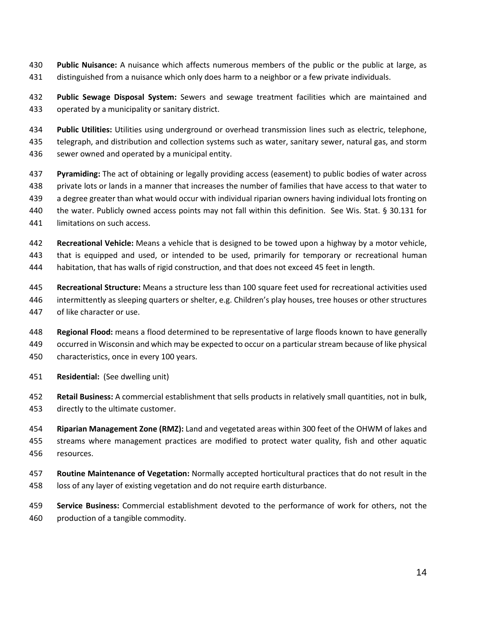- **Public Nuisance:** A nuisance which affects numerous members of the public or the public at large, as distinguished from a nuisance which only does harm to a neighbor or a few private individuals.
- **Public Sewage Disposal System:** Sewers and sewage treatment facilities which are maintained and operated by a municipality or sanitary district.
- **Public Utilities:** Utilities using underground or overhead transmission lines such as electric, telephone,
- telegraph, and distribution and collection systems such as water, sanitary sewer, natural gas, and storm sewer owned and operated by a municipal entity.
- **Pyramiding:** The act of obtaining or legally providing access (easement) to public bodies of water across private lots or lands in a manner that increases the number of families that have access to that water to a degree greater than what would occur with individual riparian owners having individual lots fronting on the water. Publicly owned access points may not fall within this definition. See Wis. Stat. § 30.131 for limitations on such access.
- **Recreational Vehicle:** Means a vehicle that is designed to be towed upon a highway by a motor vehicle, that is equipped and used, or intended to be used, primarily for temporary or recreational human habitation, that has walls of rigid construction, and that does not exceed 45 feet in length.
- **Recreational Structure:** Means a structure less than 100 square feet used for recreational activities used intermittently as sleeping quarters or shelter, e.g. Children's play houses, tree houses or other structures of like character or use.
- **Regional Flood:** means a flood determined to be representative of large floods known to have generally occurred in Wisconsin and which may be expected to occur on a particular stream because of like physical characteristics, once in every 100 years.
- **Residential:** (See dwelling unit)
- **Retail Business:** A commercial establishment that sells products in relatively small quantities, not in bulk, directly to the ultimate customer.
- **Riparian Management Zone (RMZ):** Land and vegetated areas within 300 feet of the OHWM of lakes and streams where management practices are modified to protect water quality, fish and other aquatic resources.
- **Routine Maintenance of Vegetation:** Normally accepted horticultural practices that do not result in the loss of any layer of existing vegetation and do not require earth disturbance.
- **Service Business:** Commercial establishment devoted to the performance of work for others, not the production of a tangible commodity.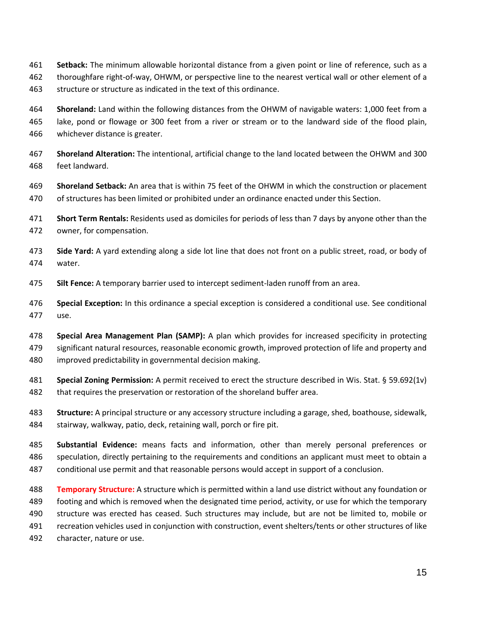- **Setback:** The minimum allowable horizontal distance from a given point or line of reference, such as a
- thoroughfare right-of-way, OHWM, or perspective line to the nearest vertical wall or other element of a
- structure or structure as indicated in the text of this ordinance.
- **Shoreland:** Land within the following distances from the OHWM of navigable waters: 1,000 feet from a lake, pond or flowage or 300 feet from a river or stream or to the landward side of the flood plain, whichever distance is greater.
- **Shoreland Alteration:** The intentional, artificial change to the land located between the OHWM and 300 feet landward.
- **Shoreland Setback:** An area that is within 75 feet of the OHWM in which the construction or placement of structures has been limited or prohibited under an ordinance enacted under this Section.
- **Short Term Rentals:** Residents used as domiciles for periods of less than 7 days by anyone other than the owner, for compensation.
- **Side Yard:** A yard extending along a side lot line that does not front on a public street, road, or body of water.
- **Silt Fence:** A temporary barrier used to intercept sediment-laden runoff from an area.
- **Special Exception:** In this ordinance a special exception is considered a conditional use. See conditional use.
- **Special Area Management Plan (SAMP):** A plan which provides for increased specificity in protecting significant natural resources, reasonable economic growth, improved protection of life and property and improved predictability in governmental decision making.
- **Special Zoning Permission:** A permit received to erect the structure described in Wis. Stat. § 59.692(1v) that requires the preservation or restoration of the shoreland buffer area.
- **Structure:** A principal structure or any accessory structure including a garage, shed, boathouse, sidewalk, stairway, walkway, patio, deck, retaining wall, porch or fire pit.
- **Substantial Evidence:** means facts and information, other than merely personal preferences or speculation, directly pertaining to the requirements and conditions an applicant must meet to obtain a conditional use permit and that reasonable persons would accept in support of a conclusion.
- **Temporary Structure:** A structure which is permitted within a land use district without any foundation or footing and which is removed when the designated time period, activity, or use for which the temporary structure was erected has ceased. Such structures may include, but are not be limited to, mobile or recreation vehicles used in conjunction with construction, event shelters/tents or other structures of like character, nature or use.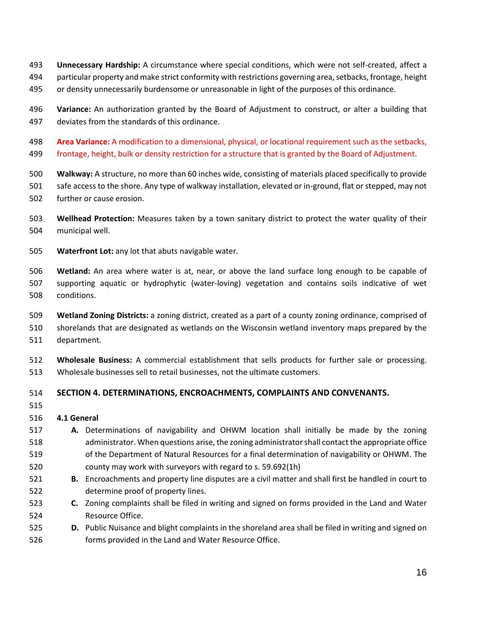- **Unnecessary Hardship:** A circumstance where special conditions, which were not self-created, affect a
- particular property and make strict conformity with restrictions governing area, setbacks, frontage, height
- or density unnecessarily burdensome or unreasonable in light of the purposes of this ordinance.
- **Variance:** An authorization granted by the Board of Adjustment to construct, or alter a building that deviates from the standards of this ordinance.
- **Area Variance:** A modification to a dimensional, physical, or locational requirement such as the setbacks, frontage, height, bulk or density restriction for a structure that is granted by the Board of Adjustment.
- **Walkway:** A structure, no more than 60 inches wide, consisting of materials placed specifically to provide safe access to the shore. Any type of walkway installation, elevated or in-ground, flat or stepped, may not further or cause erosion.
- **Wellhead Protection:** Measures taken by a town sanitary district to protect the water quality of their municipal well.
- **Waterfront Lot:** any lot that abuts navigable water.
- **Wetland:** An area where water is at, near, or above the land surface long enough to be capable of supporting aquatic or hydrophytic (water-loving) vegetation and contains soils indicative of wet conditions.
- **Wetland Zoning Districts:** a zoning district, created as a part of a county zoning ordinance, comprised of shorelands that are designated as wetlands on the Wisconsin wetland inventory maps prepared by the department.
- **Wholesale Business:** A commercial establishment that sells products for further sale or processing. Wholesale businesses sell to retail businesses, not the ultimate customers.

# **SECTION 4. DETERMINATIONS, ENCROACHMENTS, COMPLAINTS AND CONVENANTS.**

# **4.1 General**

- **A.** Determinations of navigability and OHWM location shall initially be made by the zoning administrator. When questions arise, the zoning administrator shall contact the appropriate office of the Department of Natural Resources for a final determination of navigability or OHWM. The county may work with surveyors with regard to s. 59.692(1h)
- **B.** Encroachments and property line disputes are a civil matter and shall first be handled in court to determine proof of property lines.
- **C.** Zoning complaints shall be filed in writing and signed on forms provided in the Land and Water Resource Office.
- **D.** Public Nuisance and blight complaints in the shoreland area shall be filed in writing and signed on forms provided in the Land and Water Resource Office.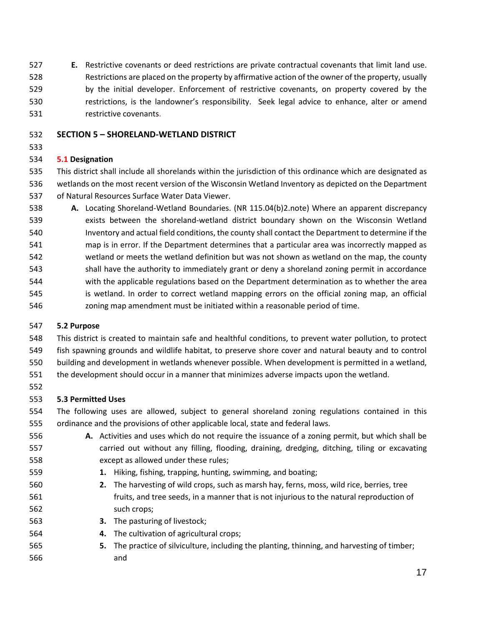**E.** Restrictive covenants or deed restrictions are private contractual covenants that limit land use. Restrictions are placed on the property by affirmative action of the owner of the property, usually by the initial developer. Enforcement of restrictive covenants, on property covered by the

restrictions, is the landowner's responsibility. Seek legal advice to enhance, alter or amend

# **SECTION 5 – SHORELAND-WETLAND DISTRICT**

# **5.1 Designation**

restrictive covenants.

 This district shall include all shorelands within the jurisdiction of this ordinance which are designated as wetlands on the most recent version of the Wisconsin Wetland Inventory as depicted on the Department of Natural Resources Surface Water Data Viewer.

 **A.** Locating Shoreland-Wetland Boundaries. (NR 115.04(b)2.note) Where an apparent discrepancy exists between the shoreland-wetland district boundary shown on the Wisconsin Wetland Inventory and actual field conditions, the county shall contact the Department to determine if the map is in error. If the Department determines that a particular area was incorrectly mapped as wetland or meets the wetland definition but was not shown as wetland on the map, the county shall have the authority to immediately grant or deny a shoreland zoning permit in accordance with the applicable regulations based on the Department determination as to whether the area is wetland. In order to correct wetland mapping errors on the official zoning map, an official zoning map amendment must be initiated within a reasonable period of time.

# **5.2 Purpose**

 This district is created to maintain safe and healthful conditions, to prevent water pollution, to protect fish spawning grounds and wildlife habitat, to preserve shore cover and natural beauty and to control

- building and development in wetlands whenever possible. When development is permitted in a wetland,
- the development should occur in a manner that minimizes adverse impacts upon the wetland.
- 

# **5.3 Permitted Uses**

 The following uses are allowed, subject to general shoreland zoning regulations contained in this ordinance and the provisions of other applicable local, state and federal laws.

- **A.** Activities and uses which do not require the issuance of a zoning permit, but which shall be carried out without any filling, flooding, draining, dredging, ditching, tiling or excavating except as allowed under these rules;
- **1.** Hiking, fishing, trapping, hunting, swimming, and boating;
- **2.** The harvesting of wild crops, such as marsh hay, ferns, moss, wild rice, berries, tree fruits, and tree seeds, in a manner that is not injurious to the natural reproduction of such crops;
- **3.** The pasturing of livestock;
- **4.** The cultivation of agricultural crops;
- **5.** The practice of silviculture, including the planting, thinning, and harvesting of timber; and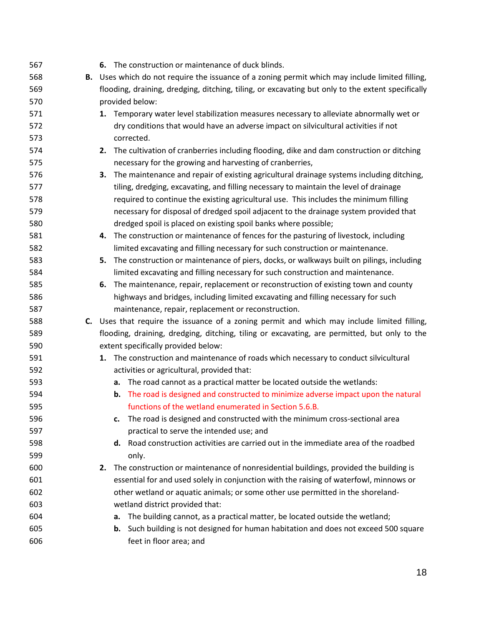| 567 | 6. The construction or maintenance of duck blinds.                                                |
|-----|---------------------------------------------------------------------------------------------------|
| 568 | B. Uses which do not require the issuance of a zoning permit which may include limited filling,   |
| 569 | flooding, draining, dredging, ditching, tiling, or excavating but only to the extent specifically |
| 570 | provided below:                                                                                   |
| 571 | 1. Temporary water level stabilization measures necessary to alleviate abnormally wet or          |
| 572 | dry conditions that would have an adverse impact on silvicultural activities if not               |
| 573 | corrected.                                                                                        |
| 574 | 2. The cultivation of cranberries including flooding, dike and dam construction or ditching       |
| 575 | necessary for the growing and harvesting of cranberries,                                          |
| 576 | The maintenance and repair of existing agricultural drainage systems including ditching,<br>з.    |
| 577 | tiling, dredging, excavating, and filling necessary to maintain the level of drainage             |
| 578 | required to continue the existing agricultural use. This includes the minimum filling             |
| 579 | necessary for disposal of dredged spoil adjacent to the drainage system provided that             |
| 580 | dredged spoil is placed on existing spoil banks where possible;                                   |
| 581 | 4. The construction or maintenance of fences for the pasturing of livestock, including            |
| 582 | limited excavating and filling necessary for such construction or maintenance.                    |
| 583 | The construction or maintenance of piers, docks, or walkways built on pilings, including<br>5.    |
| 584 | limited excavating and filling necessary for such construction and maintenance.                   |
| 585 | The maintenance, repair, replacement or reconstruction of existing town and county<br>6.          |
| 586 | highways and bridges, including limited excavating and filling necessary for such                 |
| 587 | maintenance, repair, replacement or reconstruction.                                               |
| 588 | C. Uses that require the issuance of a zoning permit and which may include limited filling,       |
| 589 | flooding, draining, dredging, ditching, tiling or excavating, are permitted, but only to the      |
| 590 | extent specifically provided below:                                                               |
| 591 | The construction and maintenance of roads which necessary to conduct silvicultural<br>1.          |
| 592 | activities or agricultural, provided that:                                                        |
| 593 | The road cannot as a practical matter be located outside the wetlands:<br>a.                      |
| 594 | The road is designed and constructed to minimize adverse impact upon the natural<br>b.            |
| 595 | functions of the wetland enumerated in Section 5.6.B.                                             |
| 596 | The road is designed and constructed with the minimum cross-sectional area<br>c.                  |
| 597 | practical to serve the intended use; and                                                          |
| 598 | d. Road construction activities are carried out in the immediate area of the roadbed              |
| 599 | only.                                                                                             |
| 600 | The construction or maintenance of nonresidential buildings, provided the building is<br>2.       |
| 601 | essential for and used solely in conjunction with the raising of waterfowl, minnows or            |
| 602 | other wetland or aquatic animals; or some other use permitted in the shoreland-                   |
| 603 | wetland district provided that:                                                                   |
| 604 | The building cannot, as a practical matter, be located outside the wetland;<br>а.                 |
| 605 | Such building is not designed for human habitation and does not exceed 500 square<br>b.           |
| 606 | feet in floor area; and                                                                           |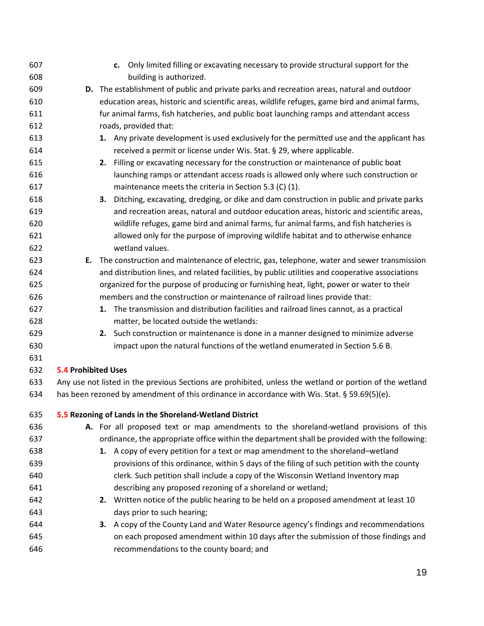| 607        |                            |    | c. Only limited filling or excavating necessary to provide structural support for the                                                                                                                    |
|------------|----------------------------|----|----------------------------------------------------------------------------------------------------------------------------------------------------------------------------------------------------------|
| 608        |                            |    | building is authorized.                                                                                                                                                                                  |
| 609        |                            |    | D. The establishment of public and private parks and recreation areas, natural and outdoor                                                                                                               |
| 610        |                            |    | education areas, historic and scientific areas, wildlife refuges, game bird and animal farms,                                                                                                            |
| 611        |                            |    | fur animal farms, fish hatcheries, and public boat launching ramps and attendant access                                                                                                                  |
| 612        |                            |    | roads, provided that:                                                                                                                                                                                    |
| 613        |                            |    | 1. Any private development is used exclusively for the permitted use and the applicant has                                                                                                               |
| 614        |                            |    | received a permit or license under Wis. Stat. § 29, where applicable.                                                                                                                                    |
| 615        |                            | 2. | Filling or excavating necessary for the construction or maintenance of public boat                                                                                                                       |
| 616        |                            |    | launching ramps or attendant access roads is allowed only where such construction or                                                                                                                     |
| 617        |                            |    | maintenance meets the criteria in Section 5.3 (C) (1).                                                                                                                                                   |
| 618        |                            | 3. | Ditching, excavating, dredging, or dike and dam construction in public and private parks                                                                                                                 |
| 619        |                            |    | and recreation areas, natural and outdoor education areas, historic and scientific areas,                                                                                                                |
| 620        |                            |    | wildlife refuges, game bird and animal farms, fur animal farms, and fish hatcheries is                                                                                                                   |
| 621        |                            |    | allowed only for the purpose of improving wildlife habitat and to otherwise enhance                                                                                                                      |
| 622        |                            |    | wetland values.                                                                                                                                                                                          |
| 623        |                            |    | E. The construction and maintenance of electric, gas, telephone, water and sewer transmission                                                                                                            |
| 624        |                            |    | and distribution lines, and related facilities, by public utilities and cooperative associations                                                                                                         |
| 625        |                            |    | organized for the purpose of producing or furnishing heat, light, power or water to their                                                                                                                |
| 626        |                            |    | members and the construction or maintenance of railroad lines provide that:                                                                                                                              |
| 627        |                            |    | 1. The transmission and distribution facilities and railroad lines cannot, as a practical                                                                                                                |
| 628        |                            |    | matter, be located outside the wetlands:                                                                                                                                                                 |
| 629        |                            |    | 2. Such construction or maintenance is done in a manner designed to minimize adverse                                                                                                                     |
| 630        |                            |    | impact upon the natural functions of the wetland enumerated in Section 5.6 B.                                                                                                                            |
| 631        |                            |    |                                                                                                                                                                                                          |
| 632        | <b>5.4 Prohibited Uses</b> |    |                                                                                                                                                                                                          |
| 633<br>634 |                            |    | Any use not listed in the previous Sections are prohibited, unless the wetland or portion of the wetland<br>has been rezoned by amendment of this ordinance in accordance with Wis. Stat. § 59.69(5)(e). |
| 635        |                            |    | 5.5 Rezoning of Lands in the Shoreland-Wetland District                                                                                                                                                  |
| 636        |                            |    | A. For all proposed text or map amendments to the shoreland-wetland provisions of this                                                                                                                   |
| 637        |                            |    | ordinance, the appropriate office within the department shall be provided with the following:                                                                                                            |
| 638        |                            |    | 1. A copy of every petition for a text or map amendment to the shoreland-wetland                                                                                                                         |
| 639        |                            |    | provisions of this ordinance, within 5 days of the filing of such petition with the county                                                                                                               |
| 640        |                            |    | clerk. Such petition shall include a copy of the Wisconsin Wetland Inventory map                                                                                                                         |
| 641        |                            |    | describing any proposed rezoning of a shoreland or wetland;                                                                                                                                              |
| 642        |                            |    | 2. Written notice of the public hearing to be held on a proposed amendment at least 10                                                                                                                   |
| 643        |                            |    | days prior to such hearing;                                                                                                                                                                              |
| 644        |                            |    | 3. A copy of the County Land and Water Resource agency's findings and recommendations                                                                                                                    |
| 645        |                            |    | on each proposed amendment within 10 days after the submission of those findings and                                                                                                                     |
| 646        |                            |    | recommendations to the county board; and                                                                                                                                                                 |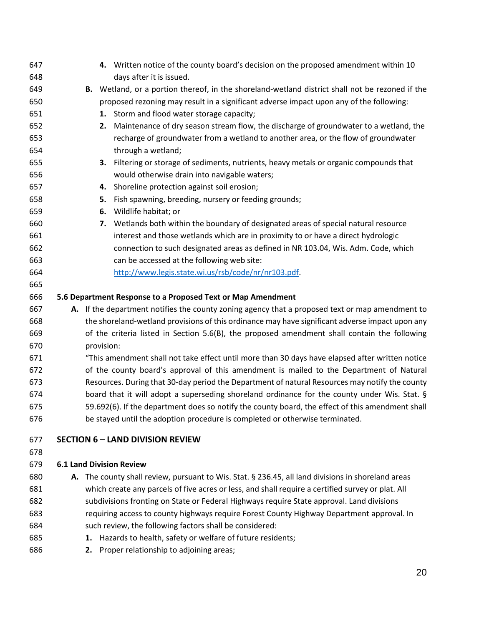| 647 |  | 4. Written notice of the county board's decision on the proposed amendment within 10               |
|-----|--|----------------------------------------------------------------------------------------------------|
| 648 |  | days after it is issued.                                                                           |
| 649 |  | B. Wetland, or a portion thereof, in the shoreland-wetland district shall not be rezoned if the    |
| 650 |  | proposed rezoning may result in a significant adverse impact upon any of the following:            |
| 651 |  | 1. Storm and flood water storage capacity;                                                         |
| 652 |  | Maintenance of dry season stream flow, the discharge of groundwater to a wetland, the<br>2.        |
| 653 |  | recharge of groundwater from a wetland to another area, or the flow of groundwater                 |
| 654 |  | through a wetland;                                                                                 |
| 655 |  | 3. Filtering or storage of sediments, nutrients, heavy metals or organic compounds that            |
| 656 |  | would otherwise drain into navigable waters;                                                       |
| 657 |  | 4. Shoreline protection against soil erosion;                                                      |
| 658 |  | Fish spawning, breeding, nursery or feeding grounds;<br>5.                                         |
| 659 |  | Wildlife habitat; or<br>6.                                                                         |
| 660 |  | Wetlands both within the boundary of designated areas of special natural resource<br>7.            |
| 661 |  | interest and those wetlands which are in proximity to or have a direct hydrologic                  |
| 662 |  | connection to such designated areas as defined in NR 103.04, Wis. Adm. Code, which                 |
| 663 |  | can be accessed at the following web site:                                                         |
| 664 |  | http://www.legis.state.wi.us/rsb/code/nr/nr103.pdf.                                                |
| 665 |  |                                                                                                    |
| 666 |  | 5.6 Department Response to a Proposed Text or Map Amendment                                        |
| 667 |  | A. If the department notifies the county zoning agency that a proposed text or map amendment to    |
| 668 |  | the shoreland-wetland provisions of this ordinance may have significant adverse impact upon any    |
| 669 |  | of the criteria listed in Section 5.6(B), the proposed amendment shall contain the following       |
| 670 |  | provision:                                                                                         |
| 671 |  | "This amendment shall not take effect until more than 30 days have elapsed after written notice    |
| 672 |  | of the county board's approval of this amendment is mailed to the Department of Natural            |
| 673 |  | Resources. During that 30-day period the Department of natural Resources may notify the county     |
| 674 |  | board that it will adopt a superseding shoreland ordinance for the county under Wis. Stat. §       |
| 675 |  | 59.692(6). If the department does so notify the county board, the effect of this amendment shall   |
| 676 |  | be stayed until the adoption procedure is completed or otherwise terminated.                       |
| 677 |  | <b>SECTION 6 - LAND DIVISION REVIEW</b>                                                            |
| 678 |  |                                                                                                    |
| 679 |  | <b>6.1 Land Division Review</b>                                                                    |
| 680 |  | A. The county shall review, pursuant to Wis. Stat. § 236.45, all land divisions in shoreland areas |
| 681 |  | which create any parcels of five acres or less, and shall require a certified survey or plat. All  |
| 682 |  | subdivisions fronting on State or Federal Highways require State approval. Land divisions          |
| 683 |  | requiring access to county highways require Forest County Highway Department approval. In          |
| 684 |  | such review, the following factors shall be considered:                                            |
| 685 |  | 1. Hazards to health, safety or welfare of future residents;                                       |

**2.** Proper relationship to adjoining areas;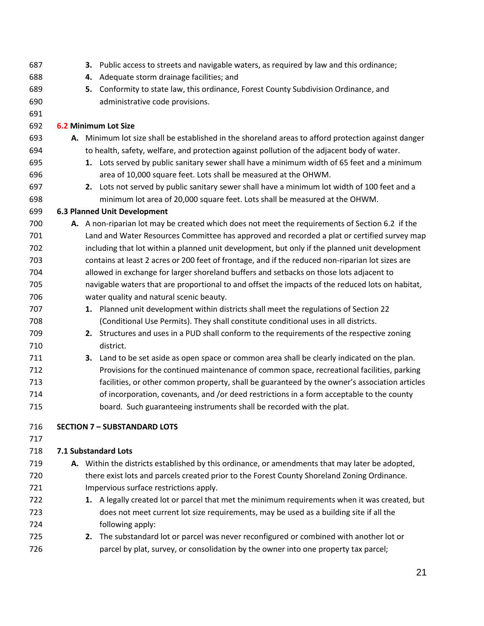| 688<br>Adequate storm drainage facilities; and<br>4.<br>689<br>Conformity to state law, this ordinance, Forest County Subdivision Ordinance, and<br>5.<br>690<br>administrative code provisions.<br>691<br>692<br>6.2 Minimum Lot Size<br>693<br>A. Minimum lot size shall be established in the shoreland areas to afford protection against danger<br>694<br>to health, safety, welfare, and protection against pollution of the adjacent body of water.<br>695<br>1. Lots served by public sanitary sewer shall have a minimum width of 65 feet and a minimum<br>696<br>area of 10,000 square feet. Lots shall be measured at the OHWM.<br>697<br>2. Lots not served by public sanitary sewer shall have a minimum lot width of 100 feet and a<br>698<br>minimum lot area of 20,000 square feet. Lots shall be measured at the OHWM.<br>699<br><b>6.3 Planned Unit Development</b><br>700<br>A. A non-riparian lot may be created which does not meet the requirements of Section 6.2 if the<br>Land and Water Resources Committee has approved and recorded a plat or certified survey map<br>701<br>702<br>including that lot within a planned unit development, but only if the planned unit development<br>703<br>contains at least 2 acres or 200 feet of frontage, and if the reduced non-riparian lot sizes are<br>allowed in exchange for larger shoreland buffers and setbacks on those lots adjacent to<br>704<br>705<br>navigable waters that are proportional to and offset the impacts of the reduced lots on habitat,<br>706<br>water quality and natural scenic beauty.<br>1. Planned unit development within districts shall meet the regulations of Section 22<br>707<br>(Conditional Use Permits). They shall constitute conditional uses in all districts.<br>708<br>709<br>2. Structures and uses in a PUD shall conform to the requirements of the respective zoning<br>710<br>district.<br>711<br>Land to be set aside as open space or common area shall be clearly indicated on the plan.<br>3.<br>Provisions for the continued maintenance of common space, recreational facilities, parking<br>712<br>713<br>facilities, or other common property, shall be guaranteed by the owner's association articles<br>714<br>of incorporation, covenants, and /or deed restrictions in a form acceptable to the county<br>board. Such guaranteeing instruments shall be recorded with the plat.<br>715<br>716<br><b>SECTION 7 - SUBSTANDARD LOTS</b><br>717<br>7.1 Substandard Lots<br>718<br>A. Within the districts established by this ordinance, or amendments that may later be adopted,<br>719<br>there exist lots and parcels created prior to the Forest County Shoreland Zoning Ordinance.<br>720 | 687 |  | <b>3.</b> Public access to streets and navigable waters, as required by law and this ordinance; |
|---------------------------------------------------------------------------------------------------------------------------------------------------------------------------------------------------------------------------------------------------------------------------------------------------------------------------------------------------------------------------------------------------------------------------------------------------------------------------------------------------------------------------------------------------------------------------------------------------------------------------------------------------------------------------------------------------------------------------------------------------------------------------------------------------------------------------------------------------------------------------------------------------------------------------------------------------------------------------------------------------------------------------------------------------------------------------------------------------------------------------------------------------------------------------------------------------------------------------------------------------------------------------------------------------------------------------------------------------------------------------------------------------------------------------------------------------------------------------------------------------------------------------------------------------------------------------------------------------------------------------------------------------------------------------------------------------------------------------------------------------------------------------------------------------------------------------------------------------------------------------------------------------------------------------------------------------------------------------------------------------------------------------------------------------------------------------------------------------------------------------------------------------------------------------------------------------------------------------------------------------------------------------------------------------------------------------------------------------------------------------------------------------------------------------------------------------------------------------------------------------------------------------------------------------------------------------------------------------------------------------------------------------------------------------------------------------------------------------------|-----|--|-------------------------------------------------------------------------------------------------|
|                                                                                                                                                                                                                                                                                                                                                                                                                                                                                                                                                                                                                                                                                                                                                                                                                                                                                                                                                                                                                                                                                                                                                                                                                                                                                                                                                                                                                                                                                                                                                                                                                                                                                                                                                                                                                                                                                                                                                                                                                                                                                                                                                                                                                                                                                                                                                                                                                                                                                                                                                                                                                                                                                                                                 |     |  |                                                                                                 |
|                                                                                                                                                                                                                                                                                                                                                                                                                                                                                                                                                                                                                                                                                                                                                                                                                                                                                                                                                                                                                                                                                                                                                                                                                                                                                                                                                                                                                                                                                                                                                                                                                                                                                                                                                                                                                                                                                                                                                                                                                                                                                                                                                                                                                                                                                                                                                                                                                                                                                                                                                                                                                                                                                                                                 |     |  |                                                                                                 |
|                                                                                                                                                                                                                                                                                                                                                                                                                                                                                                                                                                                                                                                                                                                                                                                                                                                                                                                                                                                                                                                                                                                                                                                                                                                                                                                                                                                                                                                                                                                                                                                                                                                                                                                                                                                                                                                                                                                                                                                                                                                                                                                                                                                                                                                                                                                                                                                                                                                                                                                                                                                                                                                                                                                                 |     |  |                                                                                                 |
|                                                                                                                                                                                                                                                                                                                                                                                                                                                                                                                                                                                                                                                                                                                                                                                                                                                                                                                                                                                                                                                                                                                                                                                                                                                                                                                                                                                                                                                                                                                                                                                                                                                                                                                                                                                                                                                                                                                                                                                                                                                                                                                                                                                                                                                                                                                                                                                                                                                                                                                                                                                                                                                                                                                                 |     |  |                                                                                                 |
|                                                                                                                                                                                                                                                                                                                                                                                                                                                                                                                                                                                                                                                                                                                                                                                                                                                                                                                                                                                                                                                                                                                                                                                                                                                                                                                                                                                                                                                                                                                                                                                                                                                                                                                                                                                                                                                                                                                                                                                                                                                                                                                                                                                                                                                                                                                                                                                                                                                                                                                                                                                                                                                                                                                                 |     |  |                                                                                                 |
|                                                                                                                                                                                                                                                                                                                                                                                                                                                                                                                                                                                                                                                                                                                                                                                                                                                                                                                                                                                                                                                                                                                                                                                                                                                                                                                                                                                                                                                                                                                                                                                                                                                                                                                                                                                                                                                                                                                                                                                                                                                                                                                                                                                                                                                                                                                                                                                                                                                                                                                                                                                                                                                                                                                                 |     |  |                                                                                                 |
|                                                                                                                                                                                                                                                                                                                                                                                                                                                                                                                                                                                                                                                                                                                                                                                                                                                                                                                                                                                                                                                                                                                                                                                                                                                                                                                                                                                                                                                                                                                                                                                                                                                                                                                                                                                                                                                                                                                                                                                                                                                                                                                                                                                                                                                                                                                                                                                                                                                                                                                                                                                                                                                                                                                                 |     |  |                                                                                                 |
|                                                                                                                                                                                                                                                                                                                                                                                                                                                                                                                                                                                                                                                                                                                                                                                                                                                                                                                                                                                                                                                                                                                                                                                                                                                                                                                                                                                                                                                                                                                                                                                                                                                                                                                                                                                                                                                                                                                                                                                                                                                                                                                                                                                                                                                                                                                                                                                                                                                                                                                                                                                                                                                                                                                                 |     |  |                                                                                                 |
|                                                                                                                                                                                                                                                                                                                                                                                                                                                                                                                                                                                                                                                                                                                                                                                                                                                                                                                                                                                                                                                                                                                                                                                                                                                                                                                                                                                                                                                                                                                                                                                                                                                                                                                                                                                                                                                                                                                                                                                                                                                                                                                                                                                                                                                                                                                                                                                                                                                                                                                                                                                                                                                                                                                                 |     |  |                                                                                                 |
|                                                                                                                                                                                                                                                                                                                                                                                                                                                                                                                                                                                                                                                                                                                                                                                                                                                                                                                                                                                                                                                                                                                                                                                                                                                                                                                                                                                                                                                                                                                                                                                                                                                                                                                                                                                                                                                                                                                                                                                                                                                                                                                                                                                                                                                                                                                                                                                                                                                                                                                                                                                                                                                                                                                                 |     |  |                                                                                                 |
|                                                                                                                                                                                                                                                                                                                                                                                                                                                                                                                                                                                                                                                                                                                                                                                                                                                                                                                                                                                                                                                                                                                                                                                                                                                                                                                                                                                                                                                                                                                                                                                                                                                                                                                                                                                                                                                                                                                                                                                                                                                                                                                                                                                                                                                                                                                                                                                                                                                                                                                                                                                                                                                                                                                                 |     |  |                                                                                                 |
|                                                                                                                                                                                                                                                                                                                                                                                                                                                                                                                                                                                                                                                                                                                                                                                                                                                                                                                                                                                                                                                                                                                                                                                                                                                                                                                                                                                                                                                                                                                                                                                                                                                                                                                                                                                                                                                                                                                                                                                                                                                                                                                                                                                                                                                                                                                                                                                                                                                                                                                                                                                                                                                                                                                                 |     |  |                                                                                                 |
|                                                                                                                                                                                                                                                                                                                                                                                                                                                                                                                                                                                                                                                                                                                                                                                                                                                                                                                                                                                                                                                                                                                                                                                                                                                                                                                                                                                                                                                                                                                                                                                                                                                                                                                                                                                                                                                                                                                                                                                                                                                                                                                                                                                                                                                                                                                                                                                                                                                                                                                                                                                                                                                                                                                                 |     |  |                                                                                                 |
|                                                                                                                                                                                                                                                                                                                                                                                                                                                                                                                                                                                                                                                                                                                                                                                                                                                                                                                                                                                                                                                                                                                                                                                                                                                                                                                                                                                                                                                                                                                                                                                                                                                                                                                                                                                                                                                                                                                                                                                                                                                                                                                                                                                                                                                                                                                                                                                                                                                                                                                                                                                                                                                                                                                                 |     |  |                                                                                                 |
|                                                                                                                                                                                                                                                                                                                                                                                                                                                                                                                                                                                                                                                                                                                                                                                                                                                                                                                                                                                                                                                                                                                                                                                                                                                                                                                                                                                                                                                                                                                                                                                                                                                                                                                                                                                                                                                                                                                                                                                                                                                                                                                                                                                                                                                                                                                                                                                                                                                                                                                                                                                                                                                                                                                                 |     |  |                                                                                                 |
|                                                                                                                                                                                                                                                                                                                                                                                                                                                                                                                                                                                                                                                                                                                                                                                                                                                                                                                                                                                                                                                                                                                                                                                                                                                                                                                                                                                                                                                                                                                                                                                                                                                                                                                                                                                                                                                                                                                                                                                                                                                                                                                                                                                                                                                                                                                                                                                                                                                                                                                                                                                                                                                                                                                                 |     |  |                                                                                                 |
|                                                                                                                                                                                                                                                                                                                                                                                                                                                                                                                                                                                                                                                                                                                                                                                                                                                                                                                                                                                                                                                                                                                                                                                                                                                                                                                                                                                                                                                                                                                                                                                                                                                                                                                                                                                                                                                                                                                                                                                                                                                                                                                                                                                                                                                                                                                                                                                                                                                                                                                                                                                                                                                                                                                                 |     |  |                                                                                                 |
|                                                                                                                                                                                                                                                                                                                                                                                                                                                                                                                                                                                                                                                                                                                                                                                                                                                                                                                                                                                                                                                                                                                                                                                                                                                                                                                                                                                                                                                                                                                                                                                                                                                                                                                                                                                                                                                                                                                                                                                                                                                                                                                                                                                                                                                                                                                                                                                                                                                                                                                                                                                                                                                                                                                                 |     |  |                                                                                                 |
|                                                                                                                                                                                                                                                                                                                                                                                                                                                                                                                                                                                                                                                                                                                                                                                                                                                                                                                                                                                                                                                                                                                                                                                                                                                                                                                                                                                                                                                                                                                                                                                                                                                                                                                                                                                                                                                                                                                                                                                                                                                                                                                                                                                                                                                                                                                                                                                                                                                                                                                                                                                                                                                                                                                                 |     |  |                                                                                                 |
|                                                                                                                                                                                                                                                                                                                                                                                                                                                                                                                                                                                                                                                                                                                                                                                                                                                                                                                                                                                                                                                                                                                                                                                                                                                                                                                                                                                                                                                                                                                                                                                                                                                                                                                                                                                                                                                                                                                                                                                                                                                                                                                                                                                                                                                                                                                                                                                                                                                                                                                                                                                                                                                                                                                                 |     |  |                                                                                                 |
|                                                                                                                                                                                                                                                                                                                                                                                                                                                                                                                                                                                                                                                                                                                                                                                                                                                                                                                                                                                                                                                                                                                                                                                                                                                                                                                                                                                                                                                                                                                                                                                                                                                                                                                                                                                                                                                                                                                                                                                                                                                                                                                                                                                                                                                                                                                                                                                                                                                                                                                                                                                                                                                                                                                                 |     |  |                                                                                                 |
|                                                                                                                                                                                                                                                                                                                                                                                                                                                                                                                                                                                                                                                                                                                                                                                                                                                                                                                                                                                                                                                                                                                                                                                                                                                                                                                                                                                                                                                                                                                                                                                                                                                                                                                                                                                                                                                                                                                                                                                                                                                                                                                                                                                                                                                                                                                                                                                                                                                                                                                                                                                                                                                                                                                                 |     |  |                                                                                                 |
|                                                                                                                                                                                                                                                                                                                                                                                                                                                                                                                                                                                                                                                                                                                                                                                                                                                                                                                                                                                                                                                                                                                                                                                                                                                                                                                                                                                                                                                                                                                                                                                                                                                                                                                                                                                                                                                                                                                                                                                                                                                                                                                                                                                                                                                                                                                                                                                                                                                                                                                                                                                                                                                                                                                                 |     |  |                                                                                                 |
|                                                                                                                                                                                                                                                                                                                                                                                                                                                                                                                                                                                                                                                                                                                                                                                                                                                                                                                                                                                                                                                                                                                                                                                                                                                                                                                                                                                                                                                                                                                                                                                                                                                                                                                                                                                                                                                                                                                                                                                                                                                                                                                                                                                                                                                                                                                                                                                                                                                                                                                                                                                                                                                                                                                                 |     |  |                                                                                                 |
|                                                                                                                                                                                                                                                                                                                                                                                                                                                                                                                                                                                                                                                                                                                                                                                                                                                                                                                                                                                                                                                                                                                                                                                                                                                                                                                                                                                                                                                                                                                                                                                                                                                                                                                                                                                                                                                                                                                                                                                                                                                                                                                                                                                                                                                                                                                                                                                                                                                                                                                                                                                                                                                                                                                                 |     |  |                                                                                                 |
|                                                                                                                                                                                                                                                                                                                                                                                                                                                                                                                                                                                                                                                                                                                                                                                                                                                                                                                                                                                                                                                                                                                                                                                                                                                                                                                                                                                                                                                                                                                                                                                                                                                                                                                                                                                                                                                                                                                                                                                                                                                                                                                                                                                                                                                                                                                                                                                                                                                                                                                                                                                                                                                                                                                                 |     |  |                                                                                                 |
|                                                                                                                                                                                                                                                                                                                                                                                                                                                                                                                                                                                                                                                                                                                                                                                                                                                                                                                                                                                                                                                                                                                                                                                                                                                                                                                                                                                                                                                                                                                                                                                                                                                                                                                                                                                                                                                                                                                                                                                                                                                                                                                                                                                                                                                                                                                                                                                                                                                                                                                                                                                                                                                                                                                                 |     |  |                                                                                                 |
|                                                                                                                                                                                                                                                                                                                                                                                                                                                                                                                                                                                                                                                                                                                                                                                                                                                                                                                                                                                                                                                                                                                                                                                                                                                                                                                                                                                                                                                                                                                                                                                                                                                                                                                                                                                                                                                                                                                                                                                                                                                                                                                                                                                                                                                                                                                                                                                                                                                                                                                                                                                                                                                                                                                                 |     |  |                                                                                                 |
|                                                                                                                                                                                                                                                                                                                                                                                                                                                                                                                                                                                                                                                                                                                                                                                                                                                                                                                                                                                                                                                                                                                                                                                                                                                                                                                                                                                                                                                                                                                                                                                                                                                                                                                                                                                                                                                                                                                                                                                                                                                                                                                                                                                                                                                                                                                                                                                                                                                                                                                                                                                                                                                                                                                                 |     |  |                                                                                                 |
|                                                                                                                                                                                                                                                                                                                                                                                                                                                                                                                                                                                                                                                                                                                                                                                                                                                                                                                                                                                                                                                                                                                                                                                                                                                                                                                                                                                                                                                                                                                                                                                                                                                                                                                                                                                                                                                                                                                                                                                                                                                                                                                                                                                                                                                                                                                                                                                                                                                                                                                                                                                                                                                                                                                                 |     |  |                                                                                                 |
|                                                                                                                                                                                                                                                                                                                                                                                                                                                                                                                                                                                                                                                                                                                                                                                                                                                                                                                                                                                                                                                                                                                                                                                                                                                                                                                                                                                                                                                                                                                                                                                                                                                                                                                                                                                                                                                                                                                                                                                                                                                                                                                                                                                                                                                                                                                                                                                                                                                                                                                                                                                                                                                                                                                                 |     |  |                                                                                                 |
|                                                                                                                                                                                                                                                                                                                                                                                                                                                                                                                                                                                                                                                                                                                                                                                                                                                                                                                                                                                                                                                                                                                                                                                                                                                                                                                                                                                                                                                                                                                                                                                                                                                                                                                                                                                                                                                                                                                                                                                                                                                                                                                                                                                                                                                                                                                                                                                                                                                                                                                                                                                                                                                                                                                                 |     |  |                                                                                                 |
|                                                                                                                                                                                                                                                                                                                                                                                                                                                                                                                                                                                                                                                                                                                                                                                                                                                                                                                                                                                                                                                                                                                                                                                                                                                                                                                                                                                                                                                                                                                                                                                                                                                                                                                                                                                                                                                                                                                                                                                                                                                                                                                                                                                                                                                                                                                                                                                                                                                                                                                                                                                                                                                                                                                                 |     |  |                                                                                                 |
|                                                                                                                                                                                                                                                                                                                                                                                                                                                                                                                                                                                                                                                                                                                                                                                                                                                                                                                                                                                                                                                                                                                                                                                                                                                                                                                                                                                                                                                                                                                                                                                                                                                                                                                                                                                                                                                                                                                                                                                                                                                                                                                                                                                                                                                                                                                                                                                                                                                                                                                                                                                                                                                                                                                                 | 721 |  | Impervious surface restrictions apply.                                                          |
| 722<br>1. A legally created lot or parcel that met the minimum requirements when it was created, but                                                                                                                                                                                                                                                                                                                                                                                                                                                                                                                                                                                                                                                                                                                                                                                                                                                                                                                                                                                                                                                                                                                                                                                                                                                                                                                                                                                                                                                                                                                                                                                                                                                                                                                                                                                                                                                                                                                                                                                                                                                                                                                                                                                                                                                                                                                                                                                                                                                                                                                                                                                                                            |     |  |                                                                                                 |
| does not meet current lot size requirements, may be used as a building site if all the<br>723                                                                                                                                                                                                                                                                                                                                                                                                                                                                                                                                                                                                                                                                                                                                                                                                                                                                                                                                                                                                                                                                                                                                                                                                                                                                                                                                                                                                                                                                                                                                                                                                                                                                                                                                                                                                                                                                                                                                                                                                                                                                                                                                                                                                                                                                                                                                                                                                                                                                                                                                                                                                                                   |     |  |                                                                                                 |
| following apply:<br>724                                                                                                                                                                                                                                                                                                                                                                                                                                                                                                                                                                                                                                                                                                                                                                                                                                                                                                                                                                                                                                                                                                                                                                                                                                                                                                                                                                                                                                                                                                                                                                                                                                                                                                                                                                                                                                                                                                                                                                                                                                                                                                                                                                                                                                                                                                                                                                                                                                                                                                                                                                                                                                                                                                         |     |  |                                                                                                 |
| 725<br>2. The substandard lot or parcel was never reconfigured or combined with another lot or                                                                                                                                                                                                                                                                                                                                                                                                                                                                                                                                                                                                                                                                                                                                                                                                                                                                                                                                                                                                                                                                                                                                                                                                                                                                                                                                                                                                                                                                                                                                                                                                                                                                                                                                                                                                                                                                                                                                                                                                                                                                                                                                                                                                                                                                                                                                                                                                                                                                                                                                                                                                                                  |     |  |                                                                                                 |
| parcel by plat, survey, or consolidation by the owner into one property tax parcel;<br>726                                                                                                                                                                                                                                                                                                                                                                                                                                                                                                                                                                                                                                                                                                                                                                                                                                                                                                                                                                                                                                                                                                                                                                                                                                                                                                                                                                                                                                                                                                                                                                                                                                                                                                                                                                                                                                                                                                                                                                                                                                                                                                                                                                                                                                                                                                                                                                                                                                                                                                                                                                                                                                      |     |  |                                                                                                 |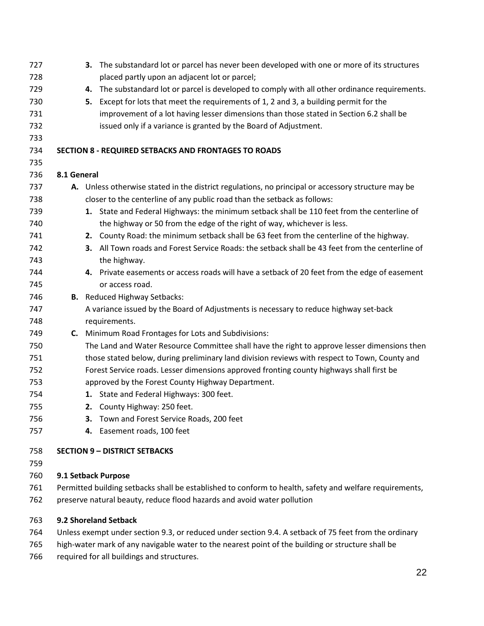| 727                      |                                                                                                         | 3. The substandard lot or parcel has never been developed with one or more of its structures          |  |  |  |
|--------------------------|---------------------------------------------------------------------------------------------------------|-------------------------------------------------------------------------------------------------------|--|--|--|
| 728                      |                                                                                                         | placed partly upon an adjacent lot or parcel;                                                         |  |  |  |
| 729                      |                                                                                                         | The substandard lot or parcel is developed to comply with all other ordinance requirements.<br>4.     |  |  |  |
| 730                      |                                                                                                         | Except for lots that meet the requirements of 1, 2 and 3, a building permit for the<br>5.             |  |  |  |
| 731                      |                                                                                                         | improvement of a lot having lesser dimensions than those stated in Section 6.2 shall be               |  |  |  |
| 732                      |                                                                                                         | issued only if a variance is granted by the Board of Adjustment.                                      |  |  |  |
| 733                      |                                                                                                         |                                                                                                       |  |  |  |
| 734                      |                                                                                                         | <b>SECTION 8 - REQUIRED SETBACKS AND FRONTAGES TO ROADS</b>                                           |  |  |  |
| 735                      |                                                                                                         |                                                                                                       |  |  |  |
| 736                      | 8.1 General                                                                                             |                                                                                                       |  |  |  |
| 737                      |                                                                                                         | A. Unless otherwise stated in the district regulations, no principal or accessory structure may be    |  |  |  |
| 738                      |                                                                                                         | closer to the centerline of any public road than the setback as follows:                              |  |  |  |
| 739                      |                                                                                                         | 1. State and Federal Highways: the minimum setback shall be 110 feet from the centerline of           |  |  |  |
| 740                      |                                                                                                         | the highway or 50 from the edge of the right of way, whichever is less.                               |  |  |  |
| 741                      |                                                                                                         | 2. County Road: the minimum setback shall be 63 feet from the centerline of the highway.              |  |  |  |
| 742                      |                                                                                                         | 3. All Town roads and Forest Service Roads: the setback shall be 43 feet from the centerline of       |  |  |  |
| 743                      |                                                                                                         | the highway.                                                                                          |  |  |  |
| 744                      |                                                                                                         | 4. Private easements or access roads will have a setback of 20 feet from the edge of easement         |  |  |  |
| 745                      |                                                                                                         | or access road.                                                                                       |  |  |  |
| 746                      |                                                                                                         | <b>B.</b> Reduced Highway Setbacks:                                                                   |  |  |  |
| 747                      |                                                                                                         | A variance issued by the Board of Adjustments is necessary to reduce highway set-back                 |  |  |  |
| 748                      |                                                                                                         | requirements.                                                                                         |  |  |  |
| 749                      |                                                                                                         | C. Minimum Road Frontages for Lots and Subdivisions:                                                  |  |  |  |
| 750                      |                                                                                                         | The Land and Water Resource Committee shall have the right to approve lesser dimensions then          |  |  |  |
| 751                      |                                                                                                         | those stated below, during preliminary land division reviews with respect to Town, County and         |  |  |  |
| 752                      |                                                                                                         | Forest Service roads. Lesser dimensions approved fronting county highways shall first be              |  |  |  |
| 753                      |                                                                                                         | approved by the Forest County Highway Department.                                                     |  |  |  |
| 754                      |                                                                                                         | 1. State and Federal Highways: 300 feet.                                                              |  |  |  |
| 755                      |                                                                                                         | 2. County Highway: 250 feet.                                                                          |  |  |  |
| 756                      |                                                                                                         | Town and Forest Service Roads, 200 feet<br>З.                                                         |  |  |  |
| 757                      |                                                                                                         | 4. Easement roads, 100 feet                                                                           |  |  |  |
| 758                      |                                                                                                         | <b>SECTION 9 - DISTRICT SETBACKS</b>                                                                  |  |  |  |
| 759                      |                                                                                                         |                                                                                                       |  |  |  |
| 760                      |                                                                                                         | 9.1 Setback Purpose                                                                                   |  |  |  |
| 761                      | Permitted building setbacks shall be established to conform to health, safety and welfare requirements, |                                                                                                       |  |  |  |
| 762                      | preserve natural beauty, reduce flood hazards and avoid water pollution                                 |                                                                                                       |  |  |  |
|                          |                                                                                                         |                                                                                                       |  |  |  |
| 763                      |                                                                                                         | 9.2 Shoreland Setback                                                                                 |  |  |  |
| 764                      |                                                                                                         | Unless exempt under section 9.3, or reduced under section 9.4. A setback of 75 feet from the ordinary |  |  |  |
| 765                      |                                                                                                         | high-water mark of any navigable water to the nearest point of the building or structure shall be     |  |  |  |
| $\overline{\phantom{a}}$ |                                                                                                         |                                                                                                       |  |  |  |

required for all buildings and structures.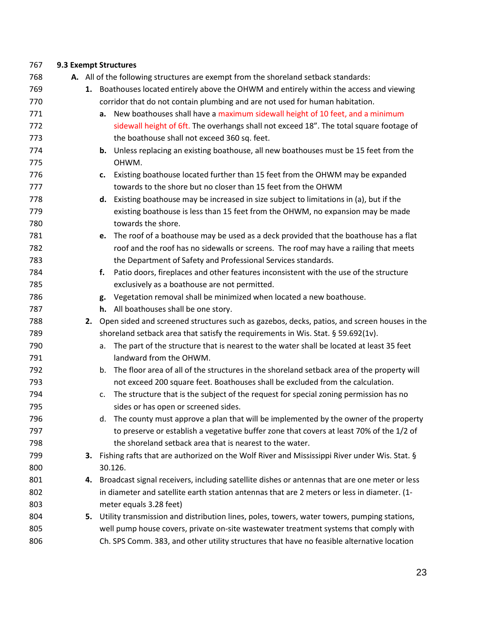| 767        |    | 9.3 Exempt Structures                                                                                                     |
|------------|----|---------------------------------------------------------------------------------------------------------------------------|
| 768        |    | A. All of the following structures are exempt from the shoreland setback standards:                                       |
| 769        |    | 1. Boathouses located entirely above the OHWM and entirely within the access and viewing                                  |
| 770        |    | corridor that do not contain plumbing and are not used for human habitation.                                              |
| 771        |    | a. New boathouses shall have a maximum sidewall height of 10 feet, and a minimum                                          |
| 772        |    | sidewall height of 6ft. The overhangs shall not exceed 18". The total square footage of                                   |
| 773        |    | the boathouse shall not exceed 360 sq. feet.                                                                              |
| 774        |    | <b>b.</b> Unless replacing an existing boathouse, all new boathouses must be 15 feet from the                             |
| 775        |    | OHWM.                                                                                                                     |
| 776        |    | Existing boathouse located further than 15 feet from the OHWM may be expanded<br>c.                                       |
| 777        |    | towards to the shore but no closer than 15 feet from the OHWM                                                             |
| 778        |    | d. Existing boathouse may be increased in size subject to limitations in (a), but if the                                  |
| 779        |    | existing boathouse is less than 15 feet from the OHWM, no expansion may be made                                           |
| 780        |    | towards the shore.                                                                                                        |
| 781        |    | e. The roof of a boathouse may be used as a deck provided that the boathouse has a flat                                   |
| 782        |    | roof and the roof has no sidewalls or screens. The roof may have a railing that meets                                     |
| 783        |    | the Department of Safety and Professional Services standards.                                                             |
| 784        |    | Patio doors, fireplaces and other features inconsistent with the use of the structure<br>f.                               |
| 785        |    | exclusively as a boathouse are not permitted.                                                                             |
| 786        |    | Vegetation removal shall be minimized when located a new boathouse.<br>g.                                                 |
| 787        |    | h. All boathouses shall be one story.                                                                                     |
| 788        |    | 2. Open sided and screened structures such as gazebos, decks, patios, and screen houses in the                            |
| 789        |    | shoreland setback area that satisfy the requirements in Wis. Stat. § 59.692(1v).                                          |
| 790        |    | The part of the structure that is nearest to the water shall be located at least 35 feet<br>а.                            |
| 791        |    | landward from the OHWM.                                                                                                   |
| 792        |    | The floor area of all of the structures in the shoreland setback area of the property will<br>b.                          |
| 793        |    | not exceed 200 square feet. Boathouses shall be excluded from the calculation.                                            |
| 794        |    | The structure that is the subject of the request for special zoning permission has no<br>C.                               |
| 795        |    | sides or has open or screened sides.                                                                                      |
| 796        |    | The county must approve a plan that will be implemented by the owner of the property<br>d.                                |
| 797        |    | to preserve or establish a vegetative buffer zone that covers at least 70% of the 1/2 of                                  |
| 798        |    | the shoreland setback area that is nearest to the water.                                                                  |
| 799        |    | 3. Fishing rafts that are authorized on the Wolf River and Mississippi River under Wis. Stat. §                           |
| 800        |    | 30.126.                                                                                                                   |
| 801        | 4. | Broadcast signal receivers, including satellite dishes or antennas that are one meter or less                             |
| 802        |    | in diameter and satellite earth station antennas that are 2 meters or less in diameter. (1-                               |
| 803<br>804 |    | meter equals 3.28 feet)<br>5. Utility transmission and distribution lines, poles, towers, water towers, pumping stations, |
| 805        |    | well pump house covers, private on-site wastewater treatment systems that comply with                                     |
|            |    |                                                                                                                           |
| 806        |    | Ch. SPS Comm. 383, and other utility structures that have no feasible alternative location                                |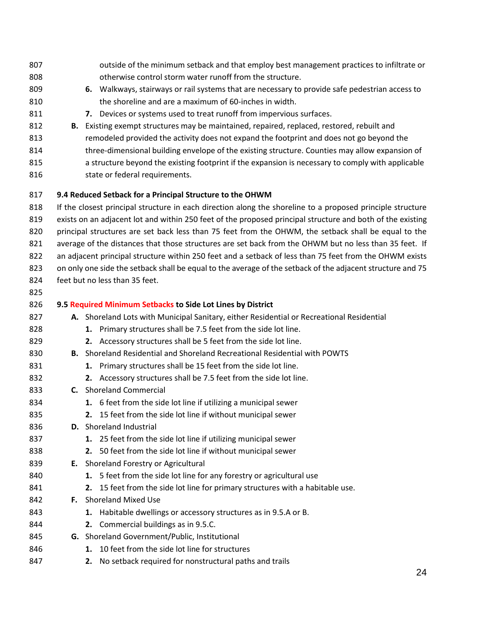outside of the minimum setback and that employ best management practices to infiltrate or otherwise control storm water runoff from the structure. **6.** Walkways, stairways or rail systems that are necessary to provide safe pedestrian access to the shoreline and are a maximum of 60-inches in width. **7.** Devices or systems used to treat runoff from impervious surfaces. **B.** Existing exempt structures may be maintained, repaired, replaced, restored, rebuilt and 813 remodeled provided the activity does not expand the footprint and does not go beyond the 814 three-dimensional building envelope of the existing structure. Counties may allow expansion of a structure beyond the existing footprint if the expansion is necessary to comply with applicable 816 state or federal requirements. **9.4 Reduced Setback for a Principal Structure to the OHWM** If the closest principal structure in each direction along the shoreline to a proposed principle structure exists on an adjacent lot and within 250 feet of the proposed principal structure and both of the existing principal structures are set back less than 75 feet from the OHWM, the setback shall be equal to the 821 average of the distances that those structures are set back from the OHWM but no less than 35 feet. If an adjacent principal structure within 250 feet and a setback of less than 75 feet from the OHWM exists on only one side the setback shall be equal to the average of the setback of the adjacent structure and 75 feet but no less than 35 feet. **9.5 Required Minimum Setbacks to Side Lot Lines by District A.** Shoreland Lots with Municipal Sanitary, either Residential or Recreational Residential **1.** Primary structures shall be 7.5 feet from the side lot line. **2.** Accessory structures shall be 5 feet from the side lot line. **B.** Shoreland Residential and Shoreland Recreational Residential with POWTS **1.** Primary structures shall be 15 feet from the side lot line. **2.** Accessory structures shall be 7.5 feet from the side lot line. **C.** Shoreland Commercial **1.** 6 feet from the side lot line if utilizing a municipal sewer **2.** 15 feet from the side lot line if without municipal sewer **D.** Shoreland Industrial **1.** 25 feet from the side lot line if utilizing municipal sewer **2.** 50 feet from the side lot line if without municipal sewer **E.** Shoreland Forestry or Agricultural **1.** 5 feet from the side lot line for any forestry or agricultural use **2.** 15 feet from the side lot line for primary structures with a habitable use. **F.** Shoreland Mixed Use **1.** Habitable dwellings or accessory structures as in 9.5.A or B. **2.** Commercial buildings as in 9.5.C. **G.** Shoreland Government/Public, Institutional **1.** 10 feet from the side lot line for structures **2.** No setback required for nonstructural paths and trails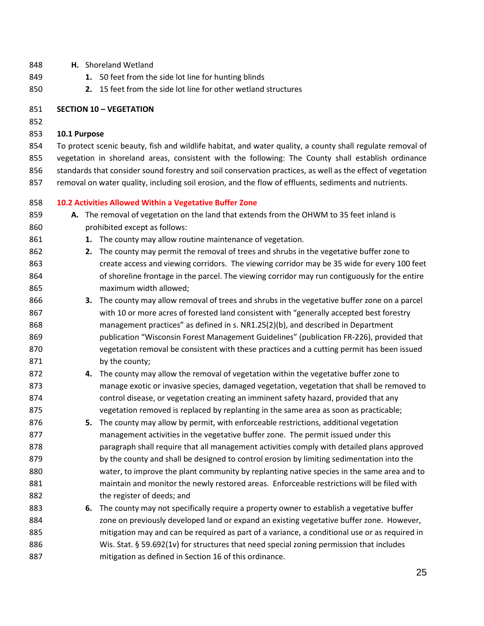- **H.** Shoreland Wetland
- **1.** 50 feet from the side lot line for hunting blinds
- **2.** 15 feet from the side lot line for other wetland structures
- **SECTION 10 – VEGETATION**
- 

#### **10.1 Purpose**

 To protect scenic beauty, fish and wildlife habitat, and water quality, a county shall regulate removal of vegetation in shoreland areas, consistent with the following: The County shall establish ordinance 856 standards that consider sound forestry and soil conservation practices, as well as the effect of vegetation removal on water quality, including soil erosion, and the flow of effluents, sediments and nutrients.

#### **10.2 Activities Allowed Within a Vegetative Buffer Zone**

- **A.** The removal of vegetation on the land that extends from the OHWM to 35 feet inland is prohibited except as follows:
- **1.** The county may allow routine maintenance of vegetation.
- **2.** The county may permit the removal of trees and shrubs in the vegetative buffer zone to create access and viewing corridors. The viewing corridor may be 35 wide for every 100 feet of shoreline frontage in the parcel. The viewing corridor may run contiguously for the entire maximum width allowed;
- **3.** The county may allow removal of trees and shrubs in the vegetative buffer zone on a parcel with 10 or more acres of forested land consistent with "generally accepted best forestry management practices" as defined in s. NR1.25(2)(b), and described in Department publication "Wisconsin Forest Management Guidelines" (publication FR-226), provided that vegetation removal be consistent with these practices and a cutting permit has been issued 871 by the county;
- **4.** The county may allow the removal of vegetation within the vegetative buffer zone to manage exotic or invasive species, damaged vegetation, vegetation that shall be removed to control disease, or vegetation creating an imminent safety hazard, provided that any vegetation removed is replaced by replanting in the same area as soon as practicable;
- **5.** The county may allow by permit, with enforceable restrictions, additional vegetation management activities in the vegetative buffer zone. The permit issued under this **paragraph shall require that all management activities comply with detailed plans approved** 879 by the county and shall be designed to control erosion by limiting sedimentation into the water, to improve the plant community by replanting native species in the same area and to maintain and monitor the newly restored areas. Enforceable restrictions will be filed with the register of deeds; and
- **6.** The county may not specifically require a property owner to establish a vegetative buffer zone on previously developed land or expand an existing vegetative buffer zone. However, mitigation may and can be required as part of a variance, a conditional use or as required in Wis. Stat. § 59.692(1v) for structures that need special zoning permission that includes mitigation as defined in Section 16 of this ordinance.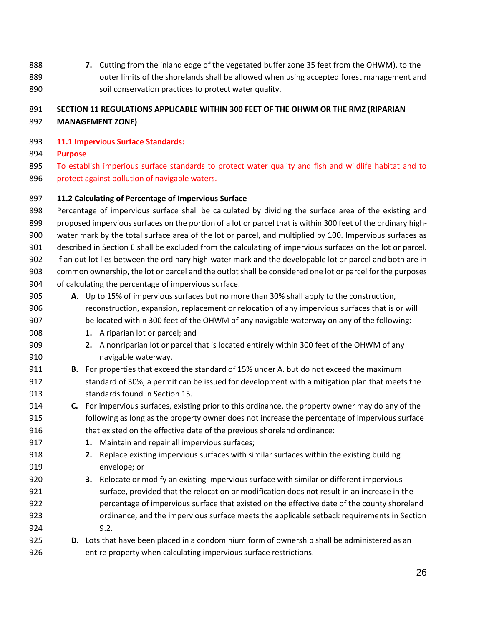**7.** Cutting from the inland edge of the vegetated buffer zone 35 feet from the OHWM), to the 889 outer limits of the shorelands shall be allowed when using accepted forest management and soil conservation practices to protect water quality.

# **SECTION 11 REGULATIONS APPLICABLE WITHIN 300 FEET OF THE OHWM OR THE RMZ (RIPARIAN**

**MANAGEMENT ZONE)**

#### **11.1 Impervious Surface Standards:**

- **Purpose**
- 895 To establish imperious surface standards to protect water quality and fish and wildlife habitat and to protect against pollution of navigable waters.

#### **11.2 Calculating of Percentage of Impervious Surface**

 Percentage of impervious surface shall be calculated by dividing the surface area of the existing and proposed impervious surfaces on the portion of a lot or parcel that is within 300 feet of the ordinary high- water mark by the total surface area of the lot or parcel, and multiplied by 100. Impervious surfaces as described in Section E shall be excluded from the calculating of impervious surfaces on the lot or parcel. If an out lot lies between the ordinary high-water mark and the developable lot or parcel and both are in common ownership, the lot or parcel and the outlot shall be considered one lot or parcel for the purposes of calculating the percentage of impervious surface.

- **A.** Up to 15% of impervious surfaces but no more than 30% shall apply to the construction, reconstruction, expansion, replacement or relocation of any impervious surfaces that is or will be located within 300 feet of the OHWM of any navigable waterway on any of the following:
- **1.** A riparian lot or parcel; and
- **2.** A nonriparian lot or parcel that is located entirely within 300 feet of the OHWM of any navigable waterway.
- **B.** For properties that exceed the standard of 15% under A. but do not exceed the maximum standard of 30%, a permit can be issued for development with a mitigation plan that meets the standards found in Section 15.
- **C.** For impervious surfaces, existing prior to this ordinance, the property owner may do any of the following as long as the property owner does not increase the percentage of impervious surface that existed on the effective date of the previous shoreland ordinance:
- **1.** Maintain and repair all impervious surfaces;
- **2.** Replace existing impervious surfaces with similar surfaces within the existing building envelope; or
- **3.** Relocate or modify an existing impervious surface with similar or different impervious surface, provided that the relocation or modification does not result in an increase in the percentage of impervious surface that existed on the effective date of the county shoreland ordinance, and the impervious surface meets the applicable setback requirements in Section 9.2.
- **D.** Lots that have been placed in a condominium form of ownership shall be administered as an entire property when calculating impervious surface restrictions.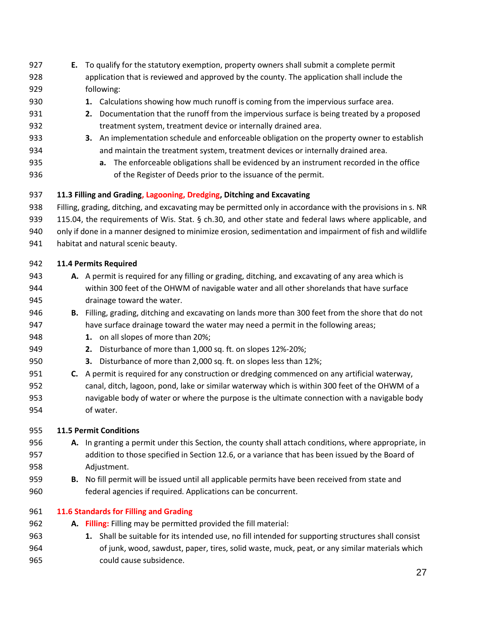**E.** To qualify for the statutory exemption, property owners shall submit a complete permit application that is reviewed and approved by the county. The application shall include the following:

# **1.** Calculations showing how much runoff is coming from the impervious surface area.

- **2.** Documentation that the runoff from the impervious surface is being treated by a proposed treatment system, treatment device or internally drained area.
- **3.** An implementation schedule and enforceable obligation on the property owner to establish and maintain the treatment system, treatment devices or internally drained area.
- **a.** The enforceable obligations shall be evidenced by an instrument recorded in the office of the Register of Deeds prior to the issuance of the permit.

# **11.3 Filling and Grading, Lagooning, Dredging, Ditching and Excavating**

Filling, grading, ditching, and excavating may be permitted only in accordance with the provisions in s. NR

115.04, the requirements of Wis. Stat. § ch.30, and other state and federal laws where applicable, and

- only if done in a manner designed to minimize erosion, sedimentation and impairment of fish and wildlife
- habitat and natural scenic beauty.

# **11.4 Permits Required**

- **A.** A permit is required for any filling or grading, ditching, and excavating of any area which is within 300 feet of the OHWM of navigable water and all other shorelands that have surface drainage toward the water.
- **B.** Filling, grading, ditching and excavating on lands more than 300 feet from the shore that do not have surface drainage toward the water may need a permit in the following areas;
- **1.** on all slopes of more than 20%;
- **2.** Disturbance of more than 1,000 sq. ft. on slopes 12%-20%;
- **3.** Disturbance of more than 2,000 sq. ft. on slopes less than 12%;
- **C.** A permit is required for any construction or dredging commenced on any artificial waterway, canal, ditch, lagoon, pond, lake or similar waterway which is within 300 feet of the OHWM of a navigable body of water or where the purpose is the ultimate connection with a navigable body of water.

# **11.5 Permit Conditions**

- **A.** In granting a permit under this Section, the county shall attach conditions, where appropriate, in addition to those specified in Section 12.6, or a variance that has been issued by the Board of Adjustment.
- **B.** No fill permit will be issued until all applicable permits have been received from state and federal agencies if required. Applications can be concurrent.

# **11.6 Standards for Filling and Grading**

- **A. Filling:** Filling may be permitted provided the fill material:
- **1.** Shall be suitable for its intended use, no fill intended for supporting structures shall consist of junk, wood, sawdust, paper, tires, solid waste, muck, peat, or any similar materials which could cause subsidence.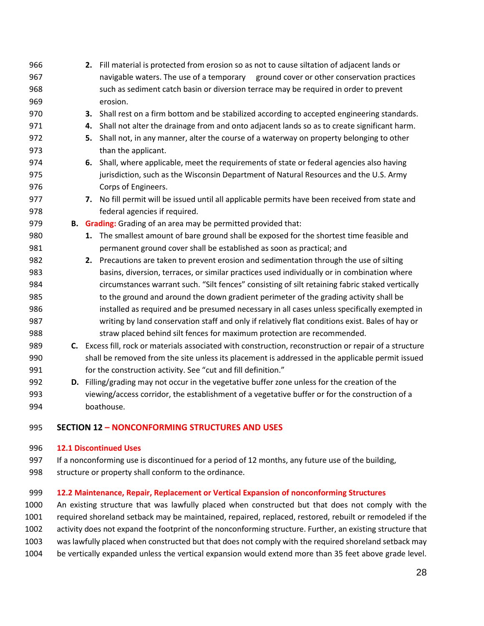- **2.** Fill material is protected from erosion so as not to cause siltation of adjacent lands or navigable waters. The use of a temporary ground cover or other conservation practices such as sediment catch basin or diversion terrace may be required in order to prevent erosion. **3.** Shall rest on a firm bottom and be stabilized according to accepted engineering standards. **4.** Shall not alter the drainage from and onto adjacent lands so as to create significant harm. **5.** Shall not, in any manner, alter the course of a waterway on property belonging to other **than the applicant. 6.** Shall, where applicable, meet the requirements of state or federal agencies also having jurisdiction, such as the Wisconsin Department of Natural Resources and the U.S. Army Corps of Engineers. **7.** No fill permit will be issued until all applicable permits have been received from state and federal agencies if required. **B. Grading:** Grading of an area may be permitted provided that: **1.** The smallest amount of bare ground shall be exposed for the shortest time feasible and permanent ground cover shall be established as soon as practical; and **2.** Precautions are taken to prevent erosion and sedimentation through the use of silting basins, diversion, terraces, or similar practices used individually or in combination where circumstances warrant such. "Silt fences" consisting of silt retaining fabric staked vertically to the ground and around the down gradient perimeter of the grading activity shall be installed as required and be presumed necessary in all cases unless specifically exempted in writing by land conservation staff and only if relatively flat conditions exist. Bales of hay or straw placed behind silt fences for maximum protection are recommended. **C.** Excess fill, rock or materials associated with construction, reconstruction or repair of a structure shall be removed from the site unless its placement is addressed in the applicable permit issued 991 for the construction activity. See "cut and fill definition." **D.** Filling/grading may not occur in the vegetative buffer zone unless for the creation of the viewing/access corridor, the establishment of a vegetative buffer or for the construction of a
- boathouse.

# **SECTION 12 – NONCONFORMING STRUCTURES AND USES**

# **12.1 Discontinued Uses**

 If a nonconforming use is discontinued for a period of 12 months, any future use of the building, structure or property shall conform to the ordinance.

# **12.2 Maintenance, Repair, Replacement or Vertical Expansion of nonconforming Structures**

 An existing structure that was lawfully placed when constructed but that does not comply with the required shoreland setback may be maintained, repaired, replaced, restored, rebuilt or remodeled if the activity does not expand the footprint of the nonconforming structure. Further, an existing structure that was lawfully placed when constructed but that does not comply with the required shoreland setback may be vertically expanded unless the vertical expansion would extend more than 35 feet above grade level.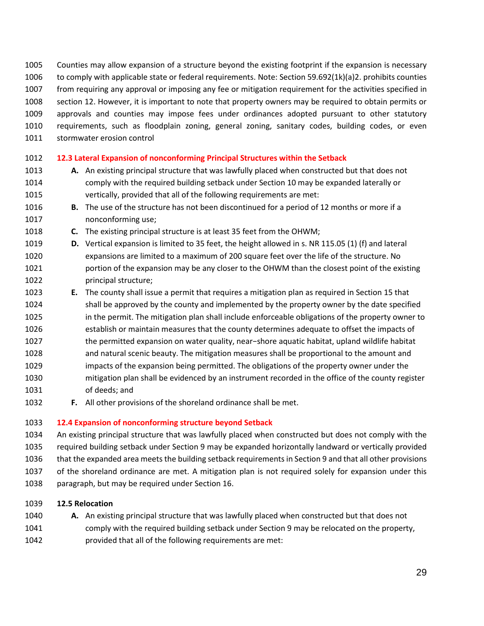- Counties may allow expansion of a structure beyond the existing footprint if the expansion is necessary
- to comply with applicable state or federal requirements. Note: Section 59.692(1k)(a)2. prohibits counties
- from requiring any approval or imposing any fee or mitigation requirement for the activities specified in
- section 12. However, it is important to note that property owners may be required to obtain permits or approvals and counties may impose fees under ordinances adopted pursuant to other statutory requirements, such as floodplain zoning, general zoning, sanitary codes, building codes, or even
- stormwater erosion control
- 
- **12.3 Lateral Expansion of nonconforming Principal Structures within the Setback**
- **A.** An existing principal structure that was lawfully placed when constructed but that does not comply with the required building setback under Section 10 may be expanded laterally or vertically, provided that all of the following requirements are met:
- **B.** The use of the structure has not been discontinued for a period of 12 months or more if a nonconforming use;
- **C.** The existing principal structure is at least 35 feet from the OHWM;
- **D.** Vertical expansion is limited to 35 feet, the height allowed in s. NR 115.05 (1) (f) and lateral expansions are limited to a maximum of 200 square feet over the life of the structure. No 1021 portion of the expansion may be any closer to the OHWM than the closest point of the existing principal structure;
- **E.** The county shall issue a permit that requires a mitigation plan as required in Section 15 that shall be approved by the county and implemented by the property owner by the date specified in the permit. The mitigation plan shall include enforceable obligations of the property owner to establish or maintain measures that the county determines adequate to offset the impacts of the permitted expansion on water quality, near−shore aquatic habitat, upland wildlife habitat and natural scenic beauty. The mitigation measures shall be proportional to the amount and impacts of the expansion being permitted. The obligations of the property owner under the mitigation plan shall be evidenced by an instrument recorded in the office of the county register of deeds; and
- **F.** All other provisions of the shoreland ordinance shall be met.

# **12.4 Expansion of nonconforming structure beyond Setback**

- An existing principal structure that was lawfully placed when constructed but does not comply with the required building setback under Section 9 may be expanded horizontally landward or vertically provided that the expanded area meets the building setback requirements in Section 9 and that all other provisions of the shoreland ordinance are met. A mitigation plan is not required solely for expansion under this paragraph, but may be required under Section 16.
- **12.5 Relocation**
- **A.** An existing principal structure that was lawfully placed when constructed but that does not comply with the required building setback under Section 9 may be relocated on the property, provided that all of the following requirements are met: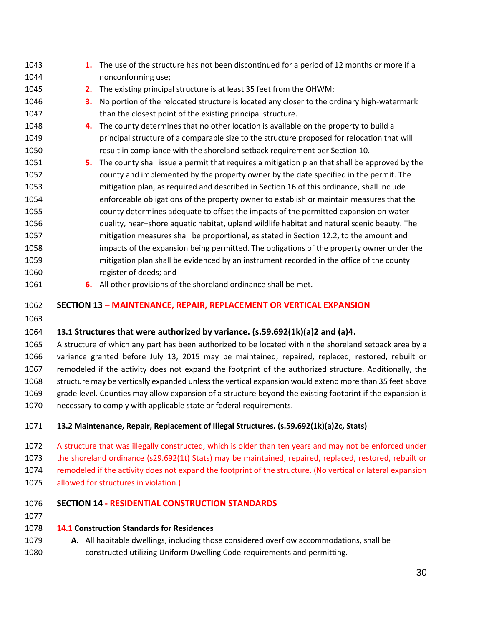| 1043 | 1. | The use of the structure has not been discontinued for a period of 12 months or more if a     |
|------|----|-----------------------------------------------------------------------------------------------|
| 1044 |    | nonconforming use;                                                                            |
| 1045 | 2. | The existing principal structure is at least 35 feet from the OHWM;                           |
| 1046 | З. | No portion of the relocated structure is located any closer to the ordinary high-watermark    |
| 1047 |    | than the closest point of the existing principal structure.                                   |
| 1048 | 4. | The county determines that no other location is available on the property to build a          |
| 1049 |    | principal structure of a comparable size to the structure proposed for relocation that will   |
| 1050 |    | result in compliance with the shoreland setback requirement per Section 10.                   |
| 1051 | 5. | The county shall issue a permit that requires a mitigation plan that shall be approved by the |
| 1052 |    | county and implemented by the property owner by the date specified in the permit. The         |
| 1053 |    | mitigation plan, as required and described in Section 16 of this ordinance, shall include     |
| 1054 |    | enforceable obligations of the property owner to establish or maintain measures that the      |
| 1055 |    | county determines adequate to offset the impacts of the permitted expansion on water          |
| 1056 |    | quality, near-shore aquatic habitat, upland wildlife habitat and natural scenic beauty. The   |
| 1057 |    | mitigation measures shall be proportional, as stated in Section 12.2, to the amount and       |
| 1058 |    | impacts of the expansion being permitted. The obligations of the property owner under the     |
| 1059 |    | mitigation plan shall be evidenced by an instrument recorded in the office of the county      |
| 1060 |    | register of deeds; and                                                                        |
|      |    |                                                                                               |

**6.** All other provisions of the shoreland ordinance shall be met.

#### **SECTION 13 – MAINTENANCE, REPAIR, REPLACEMENT OR VERTICAL EXPANSION**

# **13.1 Structures that were authorized by variance. (s.59.692(1k)(a)2 and (a)4.**

 A structure of which any part has been authorized to be located within the shoreland setback area by a variance granted before July 13, 2015 may be maintained, repaired, replaced, restored, rebuilt or remodeled if the activity does not expand the footprint of the authorized structure. Additionally, the structure may be vertically expanded unless the vertical expansion would extend more than 35 feet above grade level. Counties may allow expansion of a structure beyond the existing footprint if the expansion is necessary to comply with applicable state or federal requirements.

# **13.2 Maintenance, Repair, Replacement of Illegal Structures. (s.59.692(1k)(a)2c, Stats)**

 A structure that was illegally constructed, which is older than ten years and may not be enforced under the shoreland ordinance (s29.692(1t) Stats) may be maintained, repaired, replaced, restored, rebuilt or remodeled if the activity does not expand the footprint of the structure. (No vertical or lateral expansion allowed for structures in violation.)

# **SECTION 14 - RESIDENTIAL CONSTRUCTION STANDARDS**

#### **14.1 Construction Standards for Residences**

 **A.** All habitable dwellings, including those considered overflow accommodations, shall be constructed utilizing Uniform Dwelling Code requirements and permitting.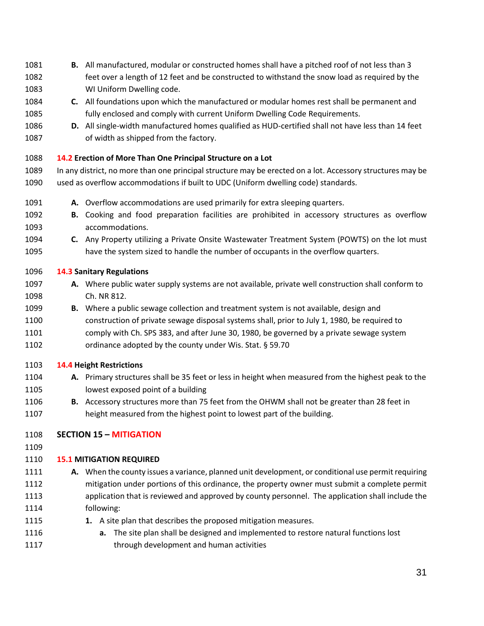- **B.** All manufactured, modular or constructed homes shall have a pitched roof of not less than 3
- feet over a length of 12 feet and be constructed to withstand the snow load as required by the WI Uniform Dwelling code.
- **C.** All foundations upon which the manufactured or modular homes rest shall be permanent and fully enclosed and comply with current Uniform Dwelling Code Requirements.
- **D.** All single-width manufactured homes qualified as HUD-certified shall not have less than 14 feet of width as shipped from the factory.

# **14.2 Erection of More Than One Principal Structure on a Lot**

- In any district, no more than one principal structure may be erected on a lot. Accessory structures may be used as overflow accommodations if built to UDC (Uniform dwelling code) standards.
- **A.** Overflow accommodations are used primarily for extra sleeping quarters.
- **B.** Cooking and food preparation facilities are prohibited in accessory structures as overflow accommodations.
- **C.** Any Property utilizing a Private Onsite Wastewater Treatment System (POWTS) on the lot must have the system sized to handle the number of occupants in the overflow quarters.

# **14.3 Sanitary Regulations**

- **A.** Where public water supply systems are not available, private well construction shall conform to Ch. NR 812.
- **B.** Where a public sewage collection and treatment system is not available, design and
- construction of private sewage disposal systems shall, prior to July 1, 1980, be required to comply with Ch. SPS 383, and after June 30, 1980, be governed by a private sewage system ordinance adopted by the county under Wis. Stat. § 59.70

# **14.4 Height Restrictions**

- **A.** Primary structures shall be 35 feet or less in height when measured from the highest peak to the lowest exposed point of a building
- **B.** Accessory structures more than 75 feet from the OHWM shall not be greater than 28 feet in height measured from the highest point to lowest part of the building.
- **SECTION 15 – MITIGATION**
- 

# **15.1 MITIGATION REQUIRED**

- **A.** When the county issues a variance, planned unit development, or conditional use permit requiring mitigation under portions of this ordinance, the property owner must submit a complete permit application that is reviewed and approved by county personnel. The application shall include the following:
- **1.** A site plan that describes the proposed mitigation measures.
- **a.** The site plan shall be designed and implemented to restore natural functions lost **through development and human activities**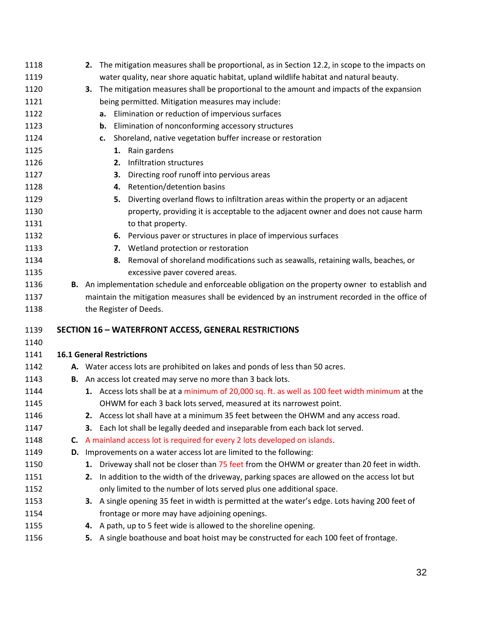| 1118         | 2. The mitigation measures shall be proportional, as in Section 12.2, in scope to the impacts on                                                                                                 |
|--------------|--------------------------------------------------------------------------------------------------------------------------------------------------------------------------------------------------|
| 1119         | water quality, near shore aquatic habitat, upland wildlife habitat and natural beauty.                                                                                                           |
| 1120         | The mitigation measures shall be proportional to the amount and impacts of the expansion<br>3.                                                                                                   |
| 1121         | being permitted. Mitigation measures may include:                                                                                                                                                |
| 1122         | Elimination or reduction of impervious surfaces<br>а.                                                                                                                                            |
| 1123         | Elimination of nonconforming accessory structures<br>b.                                                                                                                                          |
| 1124         | Shoreland, native vegetation buffer increase or restoration<br>c.                                                                                                                                |
| 1125         | 1. Rain gardens                                                                                                                                                                                  |
| 1126         | 2. Infiltration structures                                                                                                                                                                       |
| 1127         | Directing roof runoff into pervious areas<br>3.                                                                                                                                                  |
| 1128         | 4. Retention/detention basins                                                                                                                                                                    |
| 1129         | Diverting overland flows to infiltration areas within the property or an adjacent<br>5.                                                                                                          |
| 1130         | property, providing it is acceptable to the adjacent owner and does not cause harm                                                                                                               |
| 1131         | to that property.                                                                                                                                                                                |
| 1132         | 6. Pervious paver or structures in place of impervious surfaces                                                                                                                                  |
| 1133         | 7. Wetland protection or restoration                                                                                                                                                             |
| 1134         | 8. Removal of shoreland modifications such as seawalls, retaining walls, beaches, or                                                                                                             |
| 1135         | excessive paver covered areas.                                                                                                                                                                   |
| 1136         | B. An implementation schedule and enforceable obligation on the property owner to establish and                                                                                                  |
| 1137         | maintain the mitigation measures shall be evidenced by an instrument recorded in the office of                                                                                                   |
| 1138         | the Register of Deeds.                                                                                                                                                                           |
| 1139         | <b>SECTION 16 - WATERFRONT ACCESS, GENERAL RESTRICTIONS</b>                                                                                                                                      |
| 1140         |                                                                                                                                                                                                  |
| 1141         |                                                                                                                                                                                                  |
|              |                                                                                                                                                                                                  |
|              | <b>16.1 General Restrictions</b>                                                                                                                                                                 |
| 1142         | A. Water access lots are prohibited on lakes and ponds of less than 50 acres.                                                                                                                    |
| 1143         | B. An access lot created may serve no more than 3 back lots.                                                                                                                                     |
| 1144         | 1. Access lots shall be at a minimum of 20,000 sq. ft. as well as 100 feet width minimum at the                                                                                                  |
| 1145<br>1146 | OHWM for each 3 back lots served, measured at its narrowest point.                                                                                                                               |
|              | 2. Access lot shall have at a minimum 35 feet between the OHWM and any access road.<br>З.                                                                                                        |
| 1147         | Each lot shall be legally deeded and inseparable from each back lot served.                                                                                                                      |
| 1148         | C. A mainland access lot is required for every 2 lots developed on islands.                                                                                                                      |
| 1149<br>1150 | D. Improvements on a water access lot are limited to the following:                                                                                                                              |
| 1151         | 1. Driveway shall not be closer than 75 feet from the OHWM or greater than 20 feet in width.<br>In addition to the width of the driveway, parking spaces are allowed on the access lot but<br>2. |
| 1152         | only limited to the number of lots served plus one additional space.                                                                                                                             |
| 1153         | 3. A single opening 35 feet in width is permitted at the water's edge. Lots having 200 feet of                                                                                                   |
| 1154         | frontage or more may have adjoining openings.                                                                                                                                                    |
| 1155         | A path, up to 5 feet wide is allowed to the shoreline opening.<br>4.                                                                                                                             |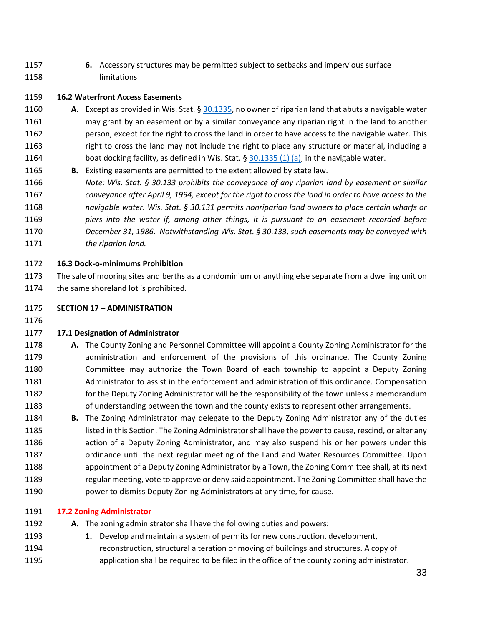**6.** Accessory structures may be permitted subject to setbacks and impervious surface limitations

# **16.2 Waterfront Access Easements**

- **A.** Except as provided in Wis. Stat. § [30.1335,](https://docs.legis.wisconsin.gov/document/statutes/30.1335) no owner of riparian land that abuts a navigable water may grant by an easement or by a similar conveyance any riparian right in the land to another person, except for the right to cross the land in order to have access to the navigable water. This right to cross the land may not include the right to place any structure or material, including a 1164 boat docking facility, as defined in Wis. Stat.  $\S$  [30.1335 \(1\) \(a\),](https://docs.legis.wisconsin.gov/document/statutes/30.1335(1)(a)) in the navigable water.
- **B.** Existing easements are permitted to the extent allowed by state law.
- *Note: Wis. Stat. § 30.133 prohibits the conveyance of any riparian land by easement or similar conveyance after April 9, 1994, except for the right to cross the land in order to have access to the navigable water. Wis. Stat. § 30.131 permits nonriparian land owners to place certain wharfs or piers into the water if, among other things, it is pursuant to an easement recorded before December 31, 1986. Notwithstanding Wis. Stat. § 30.133, such easements may be conveyed with the riparian land.*

#### **16.3 Dock-o-minimums Prohibition**

- The sale of mooring sites and berths as a condominium or anything else separate from a dwelling unit on 1174 the same shoreland lot is prohibited.
- **SECTION 17 – ADMINISTRATION**
- 

# **17.1 Designation of Administrator**

- **A.** The County Zoning and Personnel Committee will appoint a County Zoning Administrator for the administration and enforcement of the provisions of this ordinance. The County Zoning Committee may authorize the Town Board of each township to appoint a Deputy Zoning Administrator to assist in the enforcement and administration of this ordinance. Compensation for the Deputy Zoning Administrator will be the responsibility of the town unless a memorandum of understanding between the town and the county exists to represent other arrangements.
- **B.** The Zoning Administrator may delegate to the Deputy Zoning Administrator any of the duties listed in this Section. The Zoning Administrator shall have the power to cause, rescind, or alter any action of a Deputy Zoning Administrator, and may also suspend his or her powers under this ordinance until the next regular meeting of the Land and Water Resources Committee. Upon appointment of a Deputy Zoning Administrator by a Town, the Zoning Committee shall, at its next regular meeting, vote to approve or deny said appointment. The Zoning Committee shall have the power to dismiss Deputy Zoning Administrators at any time, for cause.

# **17.2 Zoning Administrator**

- **A.** The zoning administrator shall have the following duties and powers:
- **1.** Develop and maintain a system of permits for new construction, development,
- reconstruction, structural alteration or moving of buildings and structures. A copy of application shall be required to be filed in the office of the county zoning administrator.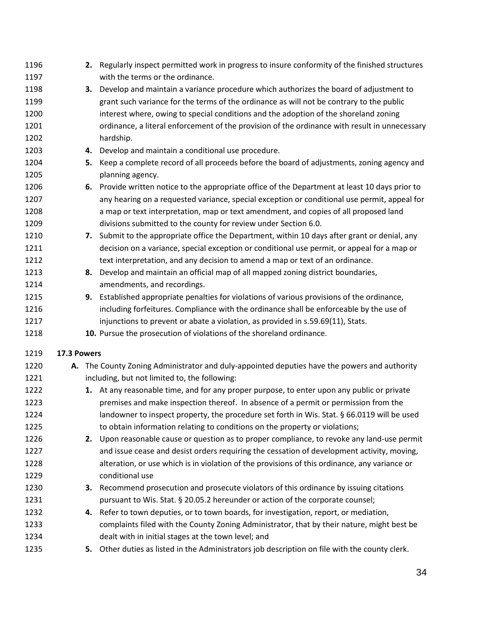| 1196         |             |    | 2. Regularly inspect permitted work in progress to insure conformity of the finished structures                                                                                   |
|--------------|-------------|----|-----------------------------------------------------------------------------------------------------------------------------------------------------------------------------------|
| 1197         |             |    | with the terms or the ordinance.                                                                                                                                                  |
| 1198<br>1199 |             | З. | Develop and maintain a variance procedure which authorizes the board of adjustment to<br>grant such variance for the terms of the ordinance as will not be contrary to the public |
| 1200         |             |    | interest where, owing to special conditions and the adoption of the shoreland zoning                                                                                              |
| 1201         |             |    | ordinance, a literal enforcement of the provision of the ordinance with result in unnecessary                                                                                     |
| 1202         |             |    | hardship.                                                                                                                                                                         |
| 1203         |             | 4. | Develop and maintain a conditional use procedure.                                                                                                                                 |
| 1204         |             | 5. | Keep a complete record of all proceeds before the board of adjustments, zoning agency and                                                                                         |
| 1205         |             |    | planning agency.                                                                                                                                                                  |
| 1206         |             |    | 6. Provide written notice to the appropriate office of the Department at least 10 days prior to                                                                                   |
| 1207         |             |    | any hearing on a requested variance, special exception or conditional use permit, appeal for                                                                                      |
| 1208         |             |    | a map or text interpretation, map or text amendment, and copies of all proposed land                                                                                              |
| 1209         |             |    | divisions submitted to the county for review under Section 6.0.                                                                                                                   |
| 1210         |             | 7. | Submit to the appropriate office the Department, within 10 days after grant or denial, any                                                                                        |
| 1211         |             |    | decision on a variance, special exception or conditional use permit, or appeal for a map or                                                                                       |
| 1212         |             |    | text interpretation, and any decision to amend a map or text of an ordinance.                                                                                                     |
| 1213         |             |    | 8. Develop and maintain an official map of all mapped zoning district boundaries,                                                                                                 |
| 1214         |             |    | amendments, and recordings.                                                                                                                                                       |
| 1215         |             |    | 9. Established appropriate penalties for violations of various provisions of the ordinance,                                                                                       |
| 1216         |             |    | including forfeitures. Compliance with the ordinance shall be enforceable by the use of                                                                                           |
| 1217         |             |    | injunctions to prevent or abate a violation, as provided in s.59.69(11), Stats.                                                                                                   |
| 1218         |             |    | 10. Pursue the prosecution of violations of the shoreland ordinance.                                                                                                              |
| 1219         | 17.3 Powers |    |                                                                                                                                                                                   |
| 1220         | А.          |    | The County Zoning Administrator and duly-appointed deputies have the powers and authority                                                                                         |
| 1221         |             |    | including, but not limited to, the following:                                                                                                                                     |
| 1222         |             |    | 1. At any reasonable time, and for any proper purpose, to enter upon any public or private                                                                                        |
| 1223         |             |    | premises and make inspection thereof. In absence of a permit or permission from the                                                                                               |
| 1224         |             |    | landowner to inspect property, the procedure set forth in Wis. Stat. § 66.0119 will be used                                                                                       |
| 1225         |             |    | to obtain information relating to conditions on the property or violations;                                                                                                       |
| 1226         |             |    | 2. Upon reasonable cause or question as to proper compliance, to revoke any land-use permit                                                                                       |
| 1227         |             |    | and issue cease and desist orders requiring the cessation of development activity, moving,                                                                                        |
| 1228         |             |    | alteration, or use which is in violation of the provisions of this ordinance, any variance or                                                                                     |
| 1229         |             |    | conditional use                                                                                                                                                                   |
| 1230         |             | 3. | Recommend prosecution and prosecute violators of this ordinance by issuing citations                                                                                              |
| 1231         |             |    | pursuant to Wis. Stat. § 20.05.2 hereunder or action of the corporate counsel;                                                                                                    |
| 1232         |             |    | 4. Refer to town deputies, or to town boards, for investigation, report, or mediation,                                                                                            |
| 1233         |             |    | complaints filed with the County Zoning Administrator, that by their nature, might best be                                                                                        |
| 1234         |             |    | dealt with in initial stages at the town level; and                                                                                                                               |
| 1235         |             |    | 5. Other duties as listed in the Administrators job description on file with the county clerk.                                                                                    |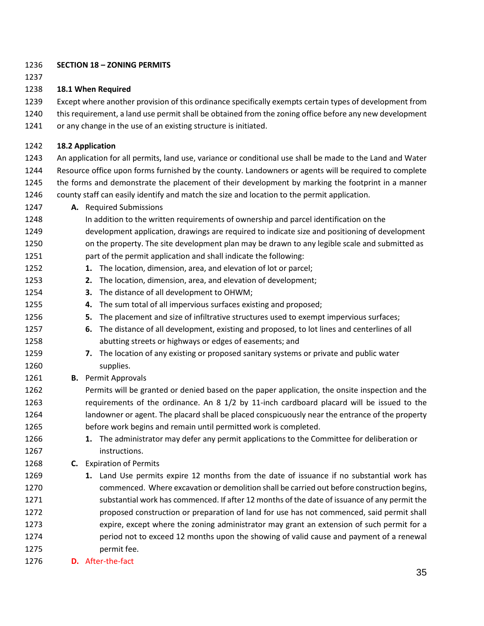#### **SECTION 18 – ZONING PERMITS**

# **18.1 When Required**

Except where another provision of this ordinance specifically exempts certain types of development from

- this requirement, a land use permit shall be obtained from the zoning office before any new development
- or any change in the use of an existing structure is initiated.

# **18.2 Application**

 An application for all permits, land use, variance or conditional use shall be made to the Land and Water Resource office upon forms furnished by the county. Landowners or agents will be required to complete the forms and demonstrate the placement of their development by marking the footprint in a manner county staff can easily identify and match the size and location to the permit application.

- **A.** Required Submissions
- In addition to the written requirements of ownership and parcel identification on the development application, drawings are required to indicate size and positioning of development on the property. The site development plan may be drawn to any legible scale and submitted as part of the permit application and shall indicate the following:
- **1.** The location, dimension, area, and elevation of lot or parcel;
- **2.** The location, dimension, area, and elevation of development;
- **3.** The distance of all development to OHWM;
- **4.** The sum total of all impervious surfaces existing and proposed;
- **5.** The placement and size of infiltrative structures used to exempt impervious surfaces;
- **6.** The distance of all development, existing and proposed, to lot lines and centerlines of all abutting streets or highways or edges of easements; and
- **7.** The location of any existing or proposed sanitary systems or private and public water supplies.
- **B.** Permit Approvals
- Permits will be granted or denied based on the paper application, the onsite inspection and the requirements of the ordinance. An 8 1/2 by 11-inch cardboard placard will be issued to the landowner or agent. The placard shall be placed conspicuously near the entrance of the property before work begins and remain until permitted work is completed.
- **1.** The administrator may defer any permit applications to the Committee for deliberation or instructions.
- **C.** Expiration of Permits
- **1.** Land Use permits expire 12 months from the date of issuance if no substantial work has commenced. Where excavation or demolition shall be carried out before construction begins, substantial work has commenced. If after 12 months of the date of issuance of any permit the proposed construction or preparation of land for use has not commenced, said permit shall expire, except where the zoning administrator may grant an extension of such permit for a period not to exceed 12 months upon the showing of valid cause and payment of a renewal permit fee.
- **D.** After-the-fact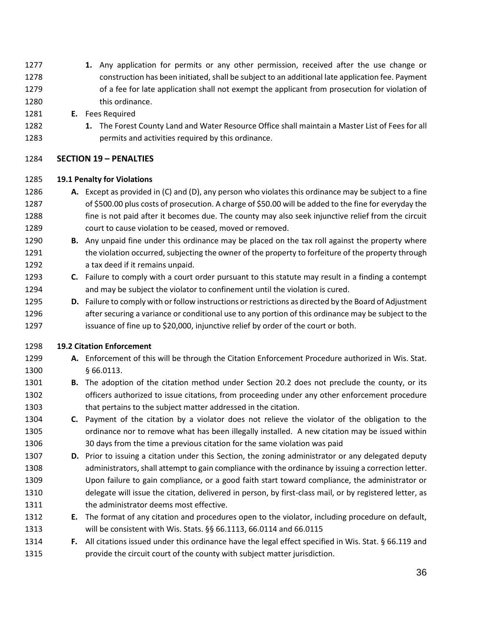- **1.** Any application for permits or any other permission, received after the use change or construction has been initiated, shall be subject to an additional late application fee. Payment of a fee for late application shall not exempt the applicant from prosecution for violation of 1280 this ordinance.
- **E.** Fees Required
- **1.** The Forest County Land and Water Resource Office shall maintain a Master List of Fees for all permits and activities required by this ordinance.

#### **SECTION 19 – PENALTIES**

#### **19.1 Penalty for Violations**

- **A.** Except as provided in (C) and (D), any person who violates this ordinance may be subject to a fine of \$500.00 plus costs of prosecution. A charge of \$50.00 will be added to the fine for everyday the fine is not paid after it becomes due. The county may also seek injunctive relief from the circuit court to cause violation to be ceased, moved or removed.
- **B.** Any unpaid fine under this ordinance may be placed on the tax roll against the property where the violation occurred, subjecting the owner of the property to forfeiture of the property through a tax deed if it remains unpaid.
- **C.** Failure to comply with a court order pursuant to this statute may result in a finding a contempt and may be subject the violator to confinement until the violation is cured.
- **D.** Failure to comply with or follow instructions or restrictions as directed by the Board of Adjustment after securing a variance or conditional use to any portion of this ordinance may be subject to the issuance of fine up to \$20,000, injunctive relief by order of the court or both.

# **19.2 Citation Enforcement**

- **A.** Enforcement of this will be through the Citation Enforcement Procedure authorized in Wis. Stat. § 66.0113.
- **B.** The adoption of the citation method under Section 20.2 does not preclude the county, or its officers authorized to issue citations, from proceeding under any other enforcement procedure that pertains to the subject matter addressed in the citation.
- **C.** Payment of the citation by a violator does not relieve the violator of the obligation to the ordinance nor to remove what has been illegally installed. A new citation may be issued within 30 days from the time a previous citation for the same violation was paid
- **D.** Prior to issuing a citation under this Section, the zoning administrator or any delegated deputy administrators, shall attempt to gain compliance with the ordinance by issuing a correction letter. Upon failure to gain compliance, or a good faith start toward compliance, the administrator or delegate will issue the citation, delivered in person, by first-class mail, or by registered letter, as 1311 the administrator deems most effective.
- **E.** The format of any citation and procedures open to the violator, including procedure on default, will be consistent with Wis. Stats. §§ 66.1113, 66.0114 and 66.0115
- **F.** All citations issued under this ordinance have the legal effect specified in Wis. Stat. § 66.119 and provide the circuit court of the county with subject matter jurisdiction.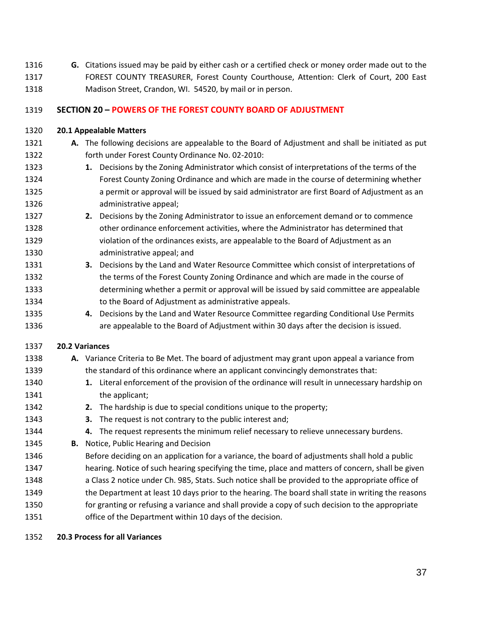**G.** Citations issued may be paid by either cash or a certified check or money order made out to the FOREST COUNTY TREASURER, Forest County Courthouse, Attention: Clerk of Court, 200 East Madison Street, Crandon, WI. 54520, by mail or in person.

# **SECTION 20 – POWERS OF THE FOREST COUNTY BOARD OF ADJUSTMENT**

#### **20.1 Appealable Matters**

- **A.** The following decisions are appealable to the Board of Adjustment and shall be initiated as put forth under Forest County Ordinance No. 02-2010: **1.** Decisions by the Zoning Administrator which consist of interpretations of the terms of the
- Forest County Zoning Ordinance and which are made in the course of determining whether a permit or approval will be issued by said administrator are first Board of Adjustment as an administrative appeal;
- **2.** Decisions by the Zoning Administrator to issue an enforcement demand or to commence other ordinance enforcement activities, where the Administrator has determined that violation of the ordinances exists, are appealable to the Board of Adjustment as an administrative appeal; and
- **3.** Decisions by the Land and Water Resource Committee which consist of interpretations of the terms of the Forest County Zoning Ordinance and which are made in the course of determining whether a permit or approval will be issued by said committee are appealable to the Board of Adjustment as administrative appeals.
- **4.** Decisions by the Land and Water Resource Committee regarding Conditional Use Permits are appealable to the Board of Adjustment within 30 days after the decision is issued.

# **20.2 Variances**

- **A.** Variance Criteria to Be Met. The board of adjustment may grant upon appeal a variance from the standard of this ordinance where an applicant convincingly demonstrates that:
- **1.** Literal enforcement of the provision of the ordinance will result in unnecessary hardship on 1341 the applicant;
- **2.** The hardship is due to special conditions unique to the property;
- **3.** The request is not contrary to the public interest and;
- **4.** The request represents the minimum relief necessary to relieve unnecessary burdens.
- **B.** Notice, Public Hearing and Decision
- Before deciding on an application for a variance, the board of adjustments shall hold a public hearing. Notice of such hearing specifying the time, place and matters of concern, shall be given
- a Class 2 notice under Ch. 985, Stats. Such notice shall be provided to the appropriate office of
- the Department at least 10 days prior to the hearing. The board shall state in writing the reasons for granting or refusing a variance and shall provide a copy of such decision to the appropriate
- office of the Department within 10 days of the decision.
- **20.3 Process for all Variances**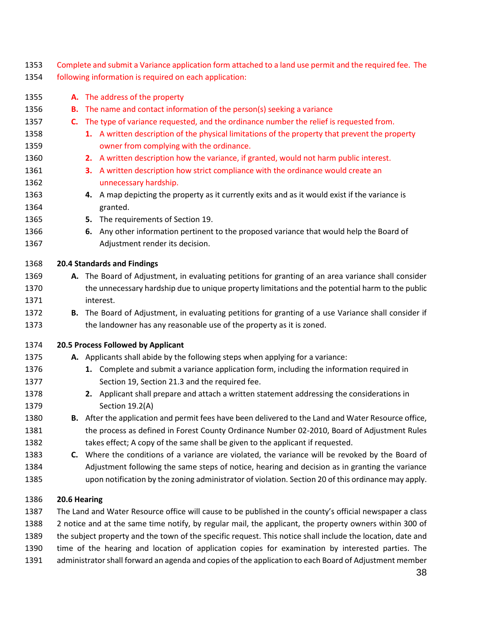Complete and submit a Variance application form attached to a land use permit and the required fee. The following information is required on each application:

 **A.** The address of the property **B.** The name and contact information of the person(s) seeking a variance **C.** The type of variance requested, and the ordinance number the relief is requested from. **1.** A written description of the physical limitations of the property that prevent the property owner from complying with the ordinance. **2.** A written description how the variance, if granted, would not harm public interest. **3.** A written description how strict compliance with the ordinance would create an unnecessary hardship. **4.** A map depicting the property as it currently exits and as it would exist if the variance is granted. **5.** The requirements of Section 19. **6.** Any other information pertinent to the proposed variance that would help the Board of Adjustment render its decision. **20.4 Standards and Findings A.** The Board of Adjustment, in evaluating petitions for granting of an area variance shall consider the unnecessary hardship due to unique property limitations and the potential harm to the public interest. **B.** The Board of Adjustment, in evaluating petitions for granting of a use Variance shall consider if the landowner has any reasonable use of the property as it is zoned. **20.5 Process Followed by Applicant A.** Applicants shall abide by the following steps when applying for a variance: **1.** Complete and submit a variance application form, including the information required in Section 19, Section 21.3 and the required fee. **2.** Applicant shall prepare and attach a written statement addressing the considerations in Section 19.2(A) **B.** After the application and permit fees have been delivered to the Land and Water Resource office, the process as defined in Forest County Ordinance Number 02-2010, Board of Adjustment Rules takes effect; A copy of the same shall be given to the applicant if requested. **C.** Where the conditions of a variance are violated, the variance will be revoked by the Board of Adjustment following the same steps of notice, hearing and decision as in granting the variance upon notification by the zoning administrator of violation. Section 20 of this ordinance may apply. **20.6 Hearing**

 The Land and Water Resource office will cause to be published in the county's official newspaper a class 2 notice and at the same time notify, by regular mail, the applicant, the property owners within 300 of the subject property and the town of the specific request. This notice shall include the location, date and time of the hearing and location of application copies for examination by interested parties. The administrator shall forward an agenda and copies of the application to each Board of Adjustment member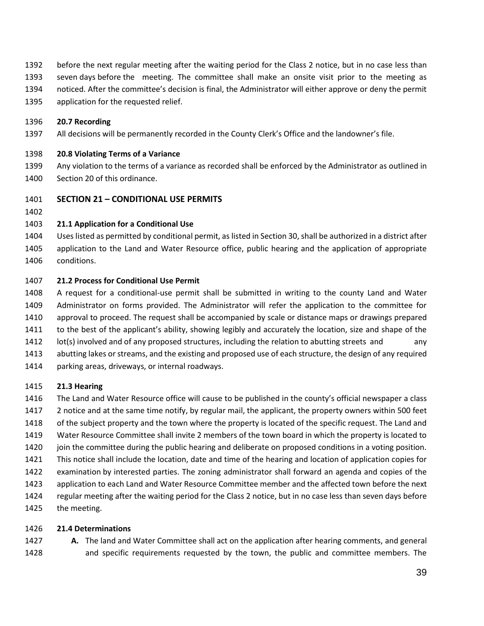- before the next regular meeting after the waiting period for the Class 2 notice, but in no case less than
- seven days before the meeting. The committee shall make an onsite visit prior to the meeting as
- noticed. After the committee's decision is final, the Administrator will either approve or deny the permit
- application for the requested relief.

# **20.7 Recording**

All decisions will be permanently recorded in the County Clerk's Office and the landowner's file.

# **20.8 Violating Terms of a Variance**

- Any violation to the terms of a variance as recorded shall be enforced by the Administrator as outlined in Section 20 of this ordinance.
- **SECTION 21 – CONDITIONAL USE PERMITS**
- 

# **21.1 Application for a Conditional Use**

 Uses listed as permitted by conditional permit, as listed in Section 30, shall be authorized in a district after application to the Land and Water Resource office, public hearing and the application of appropriate conditions.

# **21.2 Process for Conditional Use Permit**

 A request for a conditional-use permit shall be submitted in writing to the county Land and Water Administrator on forms provided. The Administrator will refer the application to the committee for approval to proceed. The request shall be accompanied by scale or distance maps or drawings prepared to the best of the applicant's ability, showing legibly and accurately the location, size and shape of the 1412 lot(s) involved and of any proposed structures, including the relation to abutting streets and any abutting lakes or streams, and the existing and proposed use of each structure, the design of any required parking areas, driveways, or internal roadways.

# **21.3 Hearing**

 The Land and Water Resource office will cause to be published in the county's official newspaper a class 2 notice and at the same time notify, by regular mail, the applicant, the property owners within 500 feet of the subject property and the town where the property is located of the specific request. The Land and Water Resource Committee shall invite 2 members of the town board in which the property is located to join the committee during the public hearing and deliberate on proposed conditions in a voting position. This notice shall include the location, date and time of the hearing and location of application copies for examination by interested parties. The zoning administrator shall forward an agenda and copies of the application to each Land and Water Resource Committee member and the affected town before the next regular meeting after the waiting period for the Class 2 notice, but in no case less than seven days before the meeting.

# **21.4 Determinations**

 **A.** The land and Water Committee shall act on the application after hearing comments, and general and specific requirements requested by the town, the public and committee members. The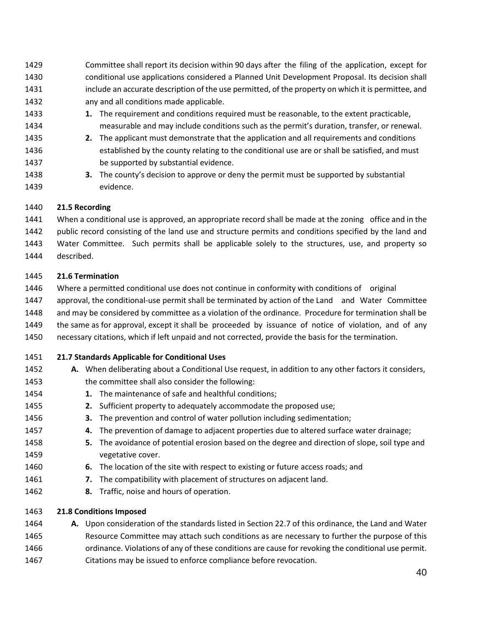- Committee shall report its decision within 90 days after the filing of the application, except for conditional use applications considered a Planned Unit Development Proposal. Its decision shall include an accurate description of the use permitted, of the property on which it is permittee, and any and all conditions made applicable.
- **1.** The requirement and conditions required must be reasonable, to the extent practicable, measurable and may include conditions such as the permit's duration, transfer, or renewal.
- **2.** The applicant must demonstrate that the application and all requirements and conditions established by the county relating to the conditional use are or shall be satisfied, and must be supported by substantial evidence.
- **3.** The county's decision to approve or deny the permit must be supported by substantial evidence.

# **21.5 Recording**

 When a conditional use is approved, an appropriate record shall be made at the zoning office and in the public record consisting of the land use and structure permits and conditions specified by the land and Water Committee. Such permits shall be applicable solely to the structures, use, and property so described.

# **21.6 Termination**

- Where a permitted conditional use does not continue in conformity with conditions of original
- approval, the conditional-use permit shall be terminated by action of the Land and Water Committee
- and may be considered by committee as a violation of the ordinance. Procedure for termination shall be
- the same as for approval, except it shall be proceeded by issuance of notice of violation, and of any
- necessary citations, which if left unpaid and not corrected, provide the basis for the termination.
- **21.7 Standards Applicable for Conditional Uses**
- **A.** When deliberating about a Conditional Use request, in addition to any other factors it considers, the committee shall also consider the following:
- **1.** The maintenance of safe and healthful conditions;
- **2.** Sufficient property to adequately accommodate the proposed use;
- **3.** The prevention and control of water pollution including sedimentation;
- **4.** The prevention of damage to adjacent properties due to altered surface water drainage;
- **5.** The avoidance of potential erosion based on the degree and direction of slope, soil type and vegetative cover.
- **6.** The location of the site with respect to existing or future access roads; and
- **7.** The compatibility with placement of structures on adjacent land.
- **8.** Traffic, noise and hours of operation.

# **21.8 Conditions Imposed**

 **A.** Upon consideration of the standards listed in Section 22.7 of this ordinance, the Land and Water Resource Committee may attach such conditions as are necessary to further the purpose of this ordinance. Violations of any of these conditions are cause for revoking the conditional use permit. Citations may be issued to enforce compliance before revocation.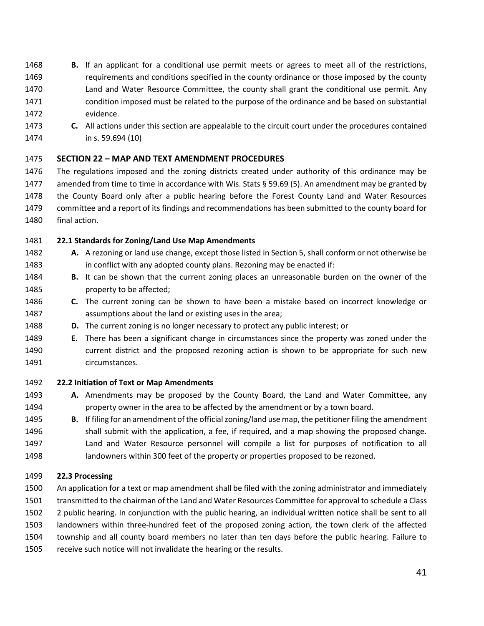- **B.** If an applicant for a conditional use permit meets or agrees to meet all of the restrictions, requirements and conditions specified in the county ordinance or those imposed by the county Land and Water Resource Committee, the county shall grant the conditional use permit. Any condition imposed must be related to the purpose of the ordinance and be based on substantial evidence.
- **C.** All actions under this section are appealable to the circuit court under the procedures contained in s. 59.694 (10)

# **SECTION 22 – MAP AND TEXT AMENDMENT PROCEDURES**

 The regulations imposed and the zoning districts created under authority of this ordinance may be amended from time to time in accordance with Wis. Stats § 59.69 (5). An amendment may be granted by the County Board only after a public hearing before the Forest County Land and Water Resources committee and a report of its findings and recommendations has been submitted to the county board for final action.

# **22.1 Standards for Zoning/Land Use Map Amendments**

- **A.** A rezoning or land use change, except those listed in Section 5, shall conform or not otherwise be in conflict with any adopted county plans. Rezoning may be enacted if:
- **B.** It can be shown that the current zoning places an unreasonable burden on the owner of the property to be affected;
- **C.** The current zoning can be shown to have been a mistake based on incorrect knowledge or assumptions about the land or existing uses in the area;
- **D.** The current zoning is no longer necessary to protect any public interest; or
- **E.** There has been a significant change in circumstances since the property was zoned under the current district and the proposed rezoning action is shown to be appropriate for such new circumstances.

# **22.2 Initiation of Text or Map Amendments**

- **A.** Amendments may be proposed by the County Board, the Land and Water Committee, any property owner in the area to be affected by the amendment or by a town board.
- **B.** If filing for an amendment of the official zoning/land use map, the petitioner filing the amendment shall submit with the application, a fee, if required, and a map showing the proposed change. Land and Water Resource personnel will compile a list for purposes of notification to all landowners within 300 feet of the property or properties proposed to be rezoned.

# **22.3 Processing**

 An application for a text or map amendment shall be filed with the zoning administrator and immediately transmitted to the chairman of the Land and Water Resources Committee for approval to schedule a Class 2 public hearing. In conjunction with the public hearing, an individual written notice shall be sent to all landowners within three-hundred feet of the proposed zoning action, the town clerk of the affected township and all county board members no later than ten days before the public hearing. Failure to receive such notice will not invalidate the hearing or the results.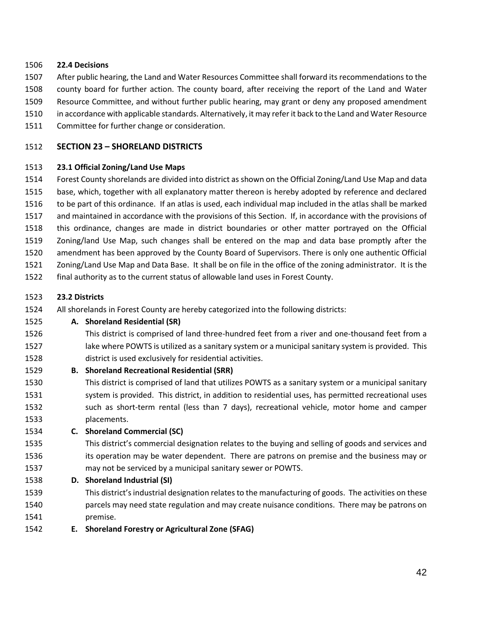#### **22.4 Decisions**

- After public hearing, the Land and Water Resources Committee shall forward its recommendations to the
- county board for further action. The county board, after receiving the report of the Land and Water
- Resource Committee, and without further public hearing, may grant or deny any proposed amendment
- in accordance with applicable standards. Alternatively, it may refer it back to the Land and Water Resource
- Committee for further change or consideration.

# **SECTION 23 – SHORELAND DISTRICTS**

# **23.1 Official Zoning/Land Use Maps**

 Forest County shorelands are divided into district as shown on the Official Zoning/Land Use Map and data base, which, together with all explanatory matter thereon is hereby adopted by reference and declared to be part of this ordinance. If an atlas is used, each individual map included in the atlas shall be marked and maintained in accordance with the provisions of this Section. If, in accordance with the provisions of this ordinance, changes are made in district boundaries or other matter portrayed on the Official Zoning/land Use Map, such changes shall be entered on the map and data base promptly after the amendment has been approved by the County Board of Supervisors. There is only one authentic Official Zoning/Land Use Map and Data Base. It shall be on file in the office of the zoning administrator. It is the final authority as to the current status of allowable land uses in Forest County.

# **23.2 Districts**

All shorelands in Forest County are hereby categorized into the following districts:

# **A. Shoreland Residential (SR)**

- This district is comprised of land three-hundred feet from a river and one-thousand feet from a lake where POWTS is utilized as a sanitary system or a municipal sanitary system is provided. This district is used exclusively for residential activities.
- **B. Shoreland Recreational Residential (SRR)**
- This district is comprised of land that utilizes POWTS as a sanitary system or a municipal sanitary 1531 system is provided. This district, in addition to residential uses, has permitted recreational uses such as short-term rental (less than 7 days), recreational vehicle, motor home and camper placements.
- **C. Shoreland Commercial (SC)**
- This district's commercial designation relates to the buying and selling of goods and services and 1536 its operation may be water dependent. There are patrons on premise and the business may or may not be serviced by a municipal sanitary sewer or POWTS.
- **D. Shoreland Industrial (SI)**
- This district's industrial designation relates to the manufacturing of goods. The activities on these parcels may need state regulation and may create nuisance conditions. There may be patrons on premise.
- **E. Shoreland Forestry or Agricultural Zone (SFAG)**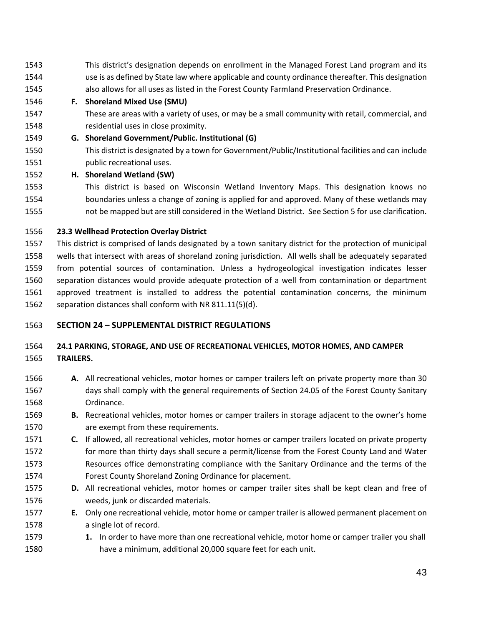- This district's designation depends on enrollment in the Managed Forest Land program and its use is as defined by State law where applicable and county ordinance thereafter. This designation also allows for all uses as listed in the Forest County Farmland Preservation Ordinance.
- **F. Shoreland Mixed Use (SMU)**
- These are areas with a variety of uses, or may be a small community with retail, commercial, and residential uses in close proximity.
- **G. Shoreland Government/Public. Institutional (G)**
- This district is designated by a town for Government/Public/Institutional facilities and can include **public recreational uses.**
- **H. Shoreland Wetland (SW)**
- This district is based on Wisconsin Wetland Inventory Maps. This designation knows no boundaries unless a change of zoning is applied for and approved. Many of these wetlands may not be mapped but are still considered in the Wetland District. See Section 5 for use clarification.

#### **23.3 Wellhead Protection Overlay District**

 This district is comprised of lands designated by a town sanitary district for the protection of municipal wells that intersect with areas of shoreland zoning jurisdiction. All wells shall be adequately separated from potential sources of contamination. Unless a hydrogeological investigation indicates lesser separation distances would provide adequate protection of a well from contamination or department approved treatment is installed to address the potential contamination concerns, the minimum separation distances shall conform with NR 811.11(5)(d).

# **SECTION 24 – SUPPLEMENTAL DISTRICT REGULATIONS**

# **24.1 PARKING, STORAGE, AND USE OF RECREATIONAL VEHICLES, MOTOR HOMES, AND CAMPER TRAILERS.**

- **A.** All recreational vehicles, motor homes or camper trailers left on private property more than 30 days shall comply with the general requirements of Section 24.05 of the Forest County Sanitary Ordinance.
- **B.** Recreational vehicles, motor homes or camper trailers in storage adjacent to the owner's home are exempt from these requirements.
- **C.** If allowed, all recreational vehicles, motor homes or camper trailers located on private property for more than thirty days shall secure a permit/license from the Forest County Land and Water Resources office demonstrating compliance with the Sanitary Ordinance and the terms of the Forest County Shoreland Zoning Ordinance for placement.
- **D.** All recreational vehicles, motor homes or camper trailer sites shall be kept clean and free of weeds, junk or discarded materials.
- **E.** Only one recreational vehicle, motor home or camper trailer is allowed permanent placement on a single lot of record.
- **1.** In order to have more than one recreational vehicle, motor home or camper trailer you shall have a minimum, additional 20,000 square feet for each unit.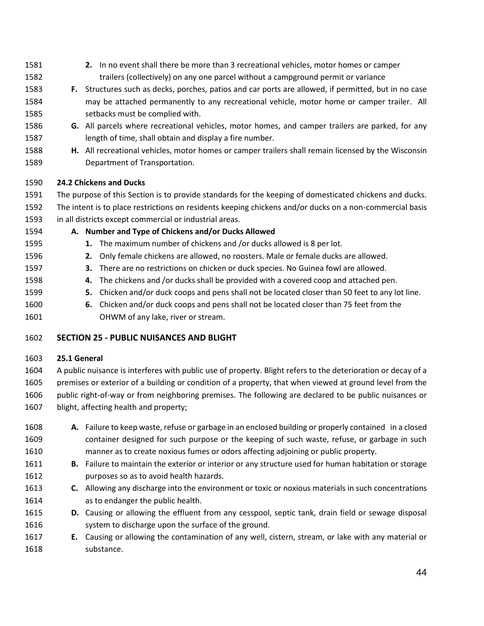- **2.** In no event shall there be more than 3 recreational vehicles, motor homes or camper trailers (collectively) on any one parcel without a campground permit or variance
- **F.** Structures such as decks, porches, patios and car ports are allowed, if permitted, but in no case may be attached permanently to any recreational vehicle, motor home or camper trailer. All setbacks must be complied with.
- **G.** All parcels where recreational vehicles, motor homes, and camper trailers are parked, for any length of time, shall obtain and display a fire number.
- **H.** All recreational vehicles, motor homes or camper trailers shall remain licensed by the Wisconsin Department of Transportation.

# **24.2 Chickens and Ducks**

- The purpose of this Section is to provide standards for the keeping of domesticated chickens and ducks.
- The intent is to place restrictions on residents keeping chickens and/or ducks on a non-commercial basis in all districts except commercial or industrial areas.
- 
- **A. Number and Type of Chickens and/or Ducks Allowed**
- **1.** The maximum number of chickens and /or ducks allowed is 8 per lot.
- **2.** Only female chickens are allowed, no roosters. Male or female ducks are allowed.
- **3.** There are no restrictions on chicken or duck species. No Guinea fowl are allowed.
- **4.** The chickens and /or ducks shall be provided with a covered coop and attached pen.
- **5.** Chicken and/or duck coops and pens shall not be located closer than 50 feet to any lot line.
- **6.** Chicken and/or duck coops and pens shall not be located closer than 75 feet from the OHWM of any lake, river or stream.

# **SECTION 25 - PUBLIC NUISANCES AND BLIGHT**

# **25.1 General**

 A public nuisance is interferes with public use of property. Blight refers to the deterioration or decay of a premises or exterior of a building or condition of a property, that when viewed at ground level from the public right-of-way or from neighboring premises. The following are declared to be public nuisances or blight, affecting health and property;

- **A.** Failure to keep waste, refuse or garbage in an enclosed building or properly contained in a closed container designed for such purpose or the keeping of such waste, refuse, or garbage in such manner as to create noxious fumes or odors affecting adjoining or public property.
- **B.** Failure to maintain the exterior or interior or any structure used for human habitation or storage purposes so as to avoid health hazards.
- **C.** Allowing any discharge into the environment or toxic or noxious materials in such concentrations as to endanger the public health.
- **D.** Causing or allowing the effluent from any cesspool, septic tank, drain field or sewage disposal system to discharge upon the surface of the ground.
- **E.** Causing or allowing the contamination of any well, cistern, stream, or lake with any material or substance.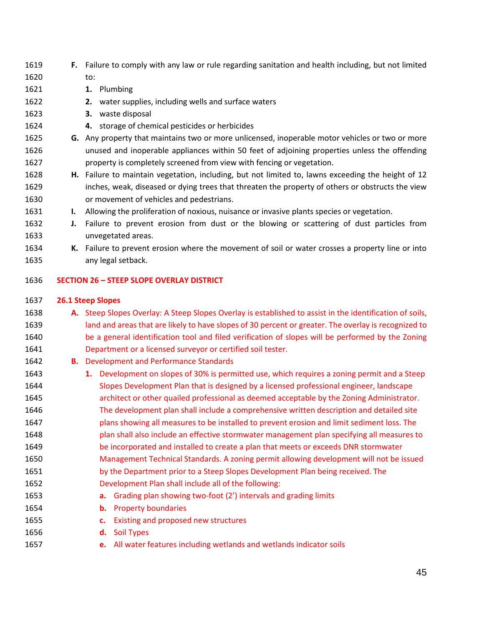| 1620 |    | to:                                                                                                      |
|------|----|----------------------------------------------------------------------------------------------------------|
| 1621 |    | 1. Plumbing                                                                                              |
| 1622 |    | water supplies, including wells and surface waters<br>2.                                                 |
| 1623 |    | 3. waste disposal                                                                                        |
| 1624 |    | 4. storage of chemical pesticides or herbicides                                                          |
| 1625 |    | G. Any property that maintains two or more unlicensed, inoperable motor vehicles or two or more          |
| 1626 |    | unused and inoperable appliances within 50 feet of adjoining properties unless the offending             |
| 1627 |    | property is completely screened from view with fencing or vegetation.                                    |
| 1628 |    | H. Failure to maintain vegetation, including, but not limited to, lawns exceeding the height of 12       |
| 1629 |    | inches, weak, diseased or dying trees that threaten the property of others or obstructs the view         |
| 1630 |    | or movement of vehicles and pedestrians.                                                                 |
| 1631 | ı. | Allowing the proliferation of noxious, nuisance or invasive plants species or vegetation.                |
| 1632 | J. | Failure to prevent erosion from dust or the blowing or scattering of dust particles from                 |
| 1633 |    | unvegetated areas.                                                                                       |
| 1634 |    | K. Failure to prevent erosion where the movement of soil or water crosses a property line or into        |
| 1635 |    | any legal setback.                                                                                       |
| 1636 |    | <b>SECTION 26 - STEEP SLOPE OVERLAY DISTRICT</b>                                                         |
|      |    |                                                                                                          |
| 1637 |    | <b>26.1 Steep Slopes</b>                                                                                 |
| 1638 |    | A. Steep Slopes Overlay: A Steep Slopes Overlay is established to assist in the identification of soils, |
| 1639 |    | land and areas that are likely to have slopes of 30 percent or greater. The overlay is recognized to     |
| 1640 |    | be a general identification tool and filed verification of slopes will be performed by the Zoning        |
| 1641 |    | Department or a licensed surveyor or certified soil tester.                                              |
| 1642 |    | <b>B.</b> Development and Performance Standards                                                          |
| 1643 |    | 1. Development on slopes of 30% is permitted use, which requires a zoning permit and a Steep             |
| 1644 |    | Slopes Development Plan that is designed by a licensed professional engineer, landscape                  |
| 1645 |    | architect or other quailed professional as deemed acceptable by the Zoning Administrator.                |
| 1646 |    | The development plan shall include a comprehensive written description and detailed site                 |
| 1647 |    | plans showing all measures to be installed to prevent erosion and limit sediment loss. The               |
| 1648 |    | plan shall also include an effective stormwater management plan specifying all measures to               |
| 1649 |    | be incorporated and installed to create a plan that meets or exceeds DNR stormwater                      |
| 1650 |    | Management Technical Standards. A zoning permit allowing development will not be issued                  |
| 1651 |    | by the Department prior to a Steep Slopes Development Plan being received. The                           |
| 1652 |    | Development Plan shall include all of the following:                                                     |
| 1653 |    | Grading plan showing two-foot (2') intervals and grading limits<br>а.                                    |
| 1654 |    | <b>Property boundaries</b><br>b.                                                                         |
| 1655 |    | Existing and proposed new structures<br>c.                                                               |
| 1656 |    | <b>Soil Types</b><br>d.                                                                                  |
| 1657 |    | All water features including wetlands and wetlands indicator soils<br>e.                                 |
|      |    |                                                                                                          |

**F.** Failure to comply with any law or rule regarding sanitation and health including, but not limited